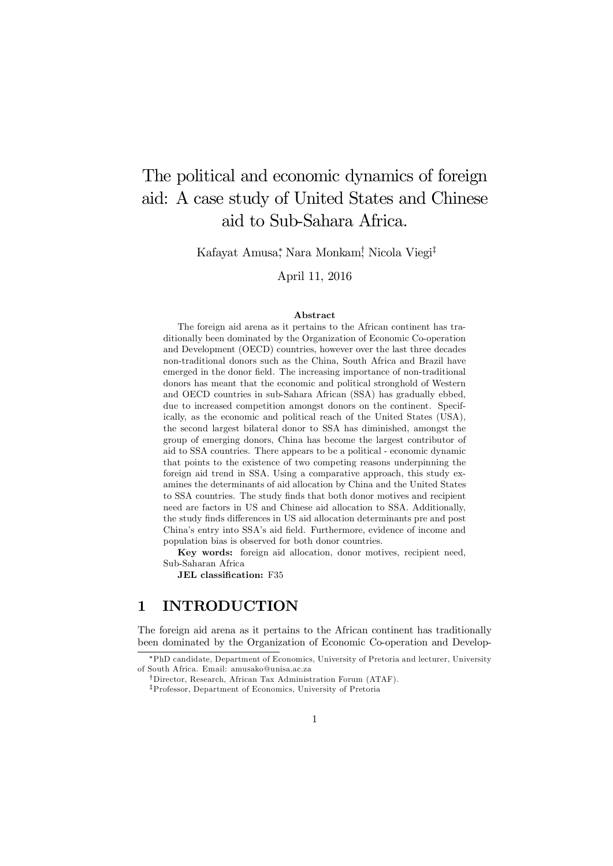# The political and economic dynamics of foreign aid: A case study of United States and Chinese aid to Sub-Sahara Africa.

Kafayat Amusa\*, Nara Monkam<sup>†</sup>, Nicola Viegi<sup>‡</sup>

#### April 11, 2016

#### Abstract

The foreign aid arena as it pertains to the African continent has traditionally been dominated by the Organization of Economic Co-operation and Development (OECD) countries, however over the last three decades non-traditional donors such as the China, South Africa and Brazil have emerged in the donor field. The increasing importance of non-traditional donors has meant that the economic and political stronghold of Western and OECD countries in sub-Sahara African (SSA) has gradually ebbed, due to increased competition amongst donors on the continent. Specifically, as the economic and political reach of the United States (USA), the second largest bilateral donor to SSA has diminished, amongst the group of emerging donors, China has become the largest contributor of aid to SSA countries. There appears to be a political - economic dynamic that points to the existence of two competing reasons underpinning the foreign aid trend in SSA. Using a comparative approach, this study examines the determinants of aid allocation by China and the United States to SSA countries. The study finds that both donor motives and recipient need are factors in US and Chinese aid allocation to SSA. Additionally, the study finds differences in US aid allocation determinants pre and post China's entry into SSA's aid field. Furthermore, evidence of income and population bias is observed for both donor countries.

Key words: foreign aid allocation, donor motives, recipient need, Sub-Saharan Africa

JEL classification: F35

## 1 INTRODUCTION

The foreign aid arena as it pertains to the African continent has traditionally been dominated by the Organization of Economic Co-operation and Develop-

<sup>¤</sup>PhD candidate, Department of Economics, University of Pretoria and lecturer, University of South Africa. Email: amusako@unisa.ac.za

<sup>&</sup>lt;sup>†</sup>Director, Research, African Tax Administration Forum (ATAF).

<sup>&</sup>lt;sup>‡</sup>Professor, Department of Economics, University of Pretoria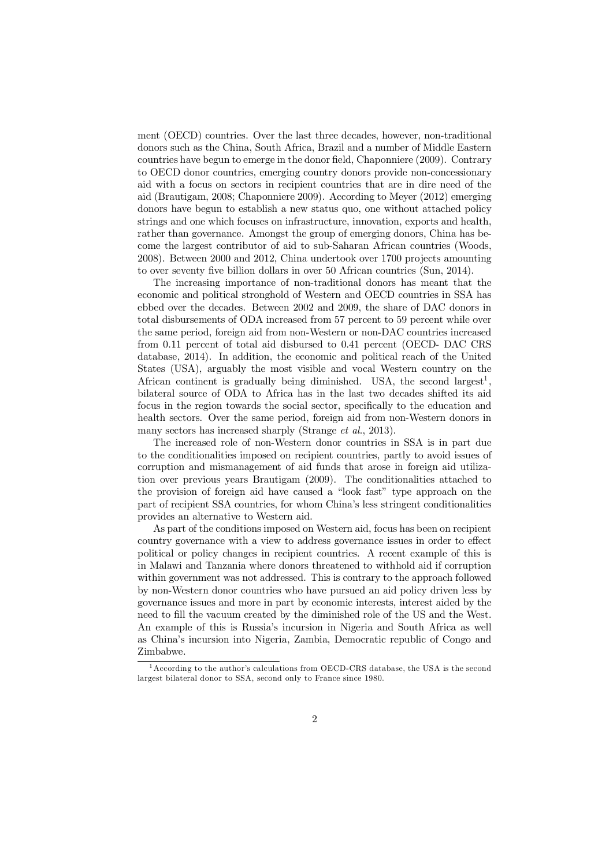ment (OECD) countries. Over the last three decades, however, non-traditional donors such as the China, South Africa, Brazil and a number of Middle Eastern countries have begun to emerge in the donor field, Chaponniere (2009). Contrary to OECD donor countries, emerging country donors provide non-concessionary aid with a focus on sectors in recipient countries that are in dire need of the aid (Brautigam, 2008; Chaponniere 2009). According to Meyer (2012) emerging donors have begun to establish a new status quo, one without attached policy strings and one which focuses on infrastructure, innovation, exports and health, rather than governance. Amongst the group of emerging donors, China has become the largest contributor of aid to sub-Saharan African countries (Woods, 2008). Between 2000 and 2012, China undertook over 1700 projects amounting to over seventy five billion dollars in over 50 African countries (Sun, 2014).

The increasing importance of non-traditional donors has meant that the economic and political stronghold of Western and OECD countries in SSA has ebbed over the decades. Between 2002 and 2009, the share of DAC donors in total disbursements of ODA increased from 57 percent to 59 percent while over the same period, foreign aid from non-Western or non-DAC countries increased from 0.11 percent of total aid disbursed to 0.41 percent (OECD- DAC CRS database, 2014). In addition, the economic and political reach of the United States (USA), arguably the most visible and vocal Western country on the African continent is gradually being diminished. USA, the second largest<sup>1</sup>. bilateral source of ODA to Africa has in the last two decades shifted its aid focus in the region towards the social sector, specifically to the education and health sectors. Over the same period, foreign aid from non-Western donors in many sectors has increased sharply (Strange *et al*., 2013).

The increased role of non-Western donor countries in SSA is in part due to the conditionalities imposed on recipient countries, partly to avoid issues of corruption and mismanagement of aid funds that arose in foreign aid utilization over previous years Brautigam (2009). The conditionalities attached to the provision of foreign aid have caused a "look fast" type approach on the part of recipient SSA countries, for whom China's less stringent conditionalities provides an alternative to Western aid.

As part of the conditions imposed on Western aid, focus has been on recipient country governance with a view to address governance issues in order to effect political or policy changes in recipient countries. A recent example of this is in Malawi and Tanzania where donors threatened to withhold aid if corruption within government was not addressed. This is contrary to the approach followed by non-Western donor countries who have pursued an aid policy driven less by governance issues and more in part by economic interests, interest aided by the need to fill the vacuum created by the diminished role of the US and the West. An example of this is Russia's incursion in Nigeria and South Africa as well as China's incursion into Nigeria, Zambia, Democratic republic of Congo and Zimbabwe.

<sup>&</sup>lt;sup>1</sup> According to the author's calculations from OECD-CRS database, the USA is the second largest bilateral donor to SSA, second only to France since 1980.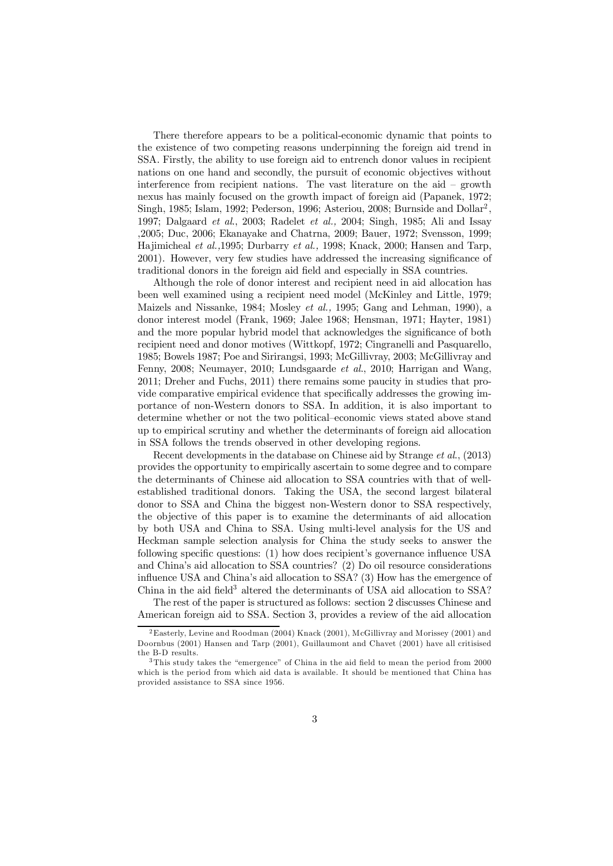There therefore appears to be a political-economic dynamic that points to the existence of two competing reasons underpinning the foreign aid trend in SSA. Firstly, the ability to use foreign aid to entrench donor values in recipient nations on one hand and secondly, the pursuit of economic objectives without interference from recipient nations. The vast literature on the aid – growth nexus has mainly focused on the growth impact of foreign aid (Papanek, 1972; Singh, 1985; Islam, 1992; Pederson, 1996; Asteriou, 2008; Burnside and Dollar<sup>2</sup> 1997; Dalgaard *et al*., 2003; Radelet *et al.,* 2004; Singh, 1985; Ali and Issay ,2005; Duc, 2006; Ekanayake and Chatrna, 2009; Bauer, 1972; Svensson, 1999; Hajimicheal *et al.,*1995; Durbarry *et al.,* 1998; Knack, 2000; Hansen and Tarp, 2001). However, very few studies have addressed the increasing significance of traditional donors in the foreign aid field and especially in SSA countries.

Although the role of donor interest and recipient need in aid allocation has been well examined using a recipient need model (McKinley and Little, 1979; Maizels and Nissanke, 1984; Mosley *et al.,* 1995; Gang and Lehman, 1990), a donor interest model (Frank, 1969; Jalee 1968; Hensman, 1971; Hayter, 1981) and the more popular hybrid model that acknowledges the significance of both recipient need and donor motives (Wittkopf, 1972; Cingranelli and Pasquarello, 1985; Bowels 1987; Poe and Sirirangsi, 1993; McGillivray, 2003; McGillivray and Fenny, 2008; Neumayer, 2010; Lundsgaarde *et al*., 2010; Harrigan and Wang, 2011; Dreher and Fuchs, 2011) there remains some paucity in studies that provide comparative empirical evidence that specifically addresses the growing importance of non-Western donors to SSA. In addition, it is also important to determine whether or not the two political–economic views stated above stand up to empirical scrutiny and whether the determinants of foreign aid allocation in SSA follows the trends observed in other developing regions.

Recent developments in the database on Chinese aid by Strange *et al*., (2013) provides the opportunity to empirically ascertain to some degree and to compare the determinants of Chinese aid allocation to SSA countries with that of wellestablished traditional donors. Taking the USA, the second largest bilateral donor to SSA and China the biggest non-Western donor to SSA respectively, the objective of this paper is to examine the determinants of aid allocation by both USA and China to SSA. Using multi-level analysis for the US and Heckman sample selection analysis for China the study seeks to answer the following specific questions:  $(1)$  how does recipient's governance influence USA and China's aid allocation to SSA countries? (2) Do oil resource considerations influence USA and China's aid allocation to SSA? (3) How has the emergence of China in the aid field<sup>3</sup> altered the determinants of USA aid allocation to SSA?

The rest of the paper is structured as follows: section 2 discusses Chinese and American foreign aid to SSA. Section 3, provides a review of the aid allocation

 $2<sup>2</sup>$ Easterly, Levine and Roodman (2004) Knack (2001), McGillivray and Morissey (2001) and Doornbus (2001) Hansen and Tarp (2001), Guillaumont and Chavet (2001) have all critisised the B-D results.

 $3$ This study takes the "emergence" of China in the aid field to mean the period from 2000 which is the period from which aid data is available. It should be mentioned that China has provided assistance to SSA since 1956.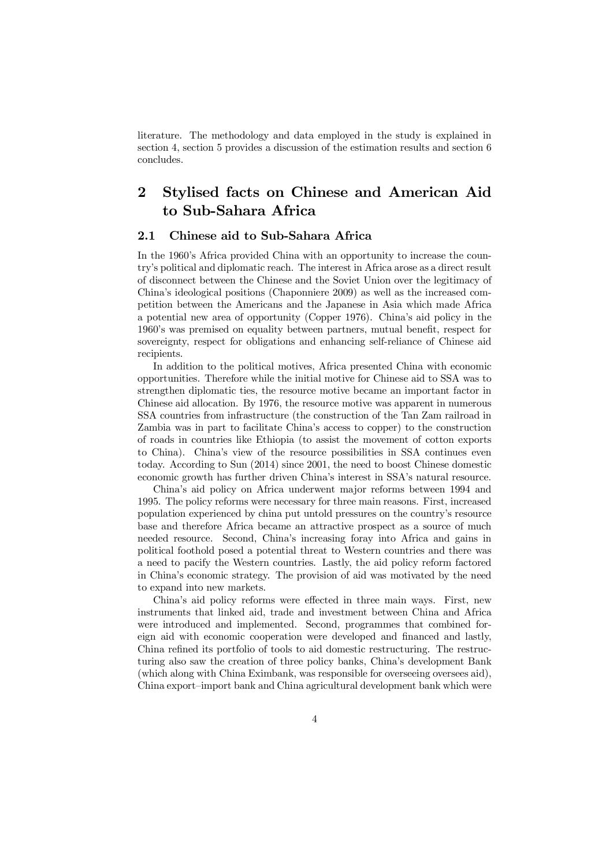literature. The methodology and data employed in the study is explained in section 4, section 5 provides a discussion of the estimation results and section 6 concludes.

## 2 Stylised facts on Chinese and American Aid to Sub-Sahara Africa

#### 2.1 Chinese aid to Sub-Sahara Africa

In the 1960's Africa provided China with an opportunity to increase the country's political and diplomatic reach. The interest in Africa arose as a direct result of disconnect between the Chinese and the Soviet Union over the legitimacy of China's ideological positions (Chaponniere 2009) as well as the increased competition between the Americans and the Japanese in Asia which made Africa a potential new area of opportunity (Copper 1976). China's aid policy in the 1960's was premised on equality between partners, mutual benefit, respect for sovereignty, respect for obligations and enhancing self-reliance of Chinese aid recipients.

In addition to the political motives, Africa presented China with economic opportunities. Therefore while the initial motive for Chinese aid to SSA was to strengthen diplomatic ties, the resource motive became an important factor in Chinese aid allocation. By 1976, the resource motive was apparent in numerous SSA countries from infrastructure (the construction of the Tan Zam railroad in Zambia was in part to facilitate China's access to copper) to the construction of roads in countries like Ethiopia (to assist the movement of cotton exports to China). China's view of the resource possibilities in SSA continues even today. According to Sun (2014) since 2001, the need to boost Chinese domestic economic growth has further driven China's interest in SSA's natural resource.

China's aid policy on Africa underwent major reforms between 1994 and 1995. The policy reforms were necessary for three main reasons. First, increased population experienced by china put untold pressures on the country's resource base and therefore Africa became an attractive prospect as a source of much needed resource. Second, China's increasing foray into Africa and gains in political foothold posed a potential threat to Western countries and there was a need to pacify the Western countries. Lastly, the aid policy reform factored in China's economic strategy. The provision of aid was motivated by the need to expand into new markets.

China's aid policy reforms were effected in three main ways. First, new instruments that linked aid, trade and investment between China and Africa were introduced and implemented. Second, programmes that combined foreign aid with economic cooperation were developed and financed and lastly, China refined its portfolio of tools to aid domestic restructuring. The restructuring also saw the creation of three policy banks, China's development Bank (which along with China Eximbank, was responsible for overseeing oversees aid), China export–import bank and China agricultural development bank which were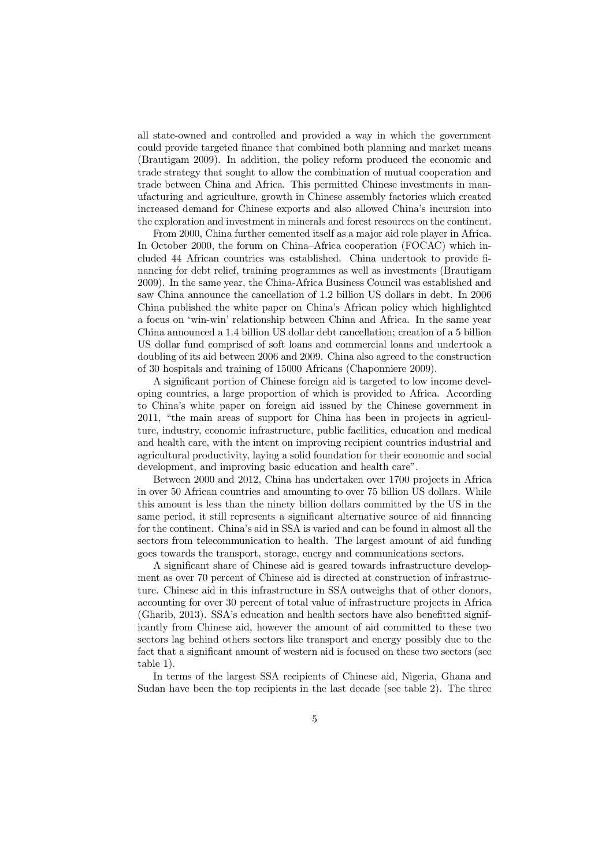all state-owned and controlled and provided a way in which the government could provide targeted finance that combined both planning and market means (Brautigam 2009). In addition, the policy reform produced the economic and trade strategy that sought to allow the combination of mutual cooperation and trade between China and Africa. This permitted Chinese investments in manufacturing and agriculture, growth in Chinese assembly factories which created increased demand for Chinese exports and also allowed China's incursion into the exploration and investment in minerals and forest resources on the continent.

From 2000, China further cemented itself as a major aid role player in Africa. In October 2000, the forum on China–Africa cooperation (FOCAC) which included 44 African countries was established. China undertook to provide financing for debt relief, training programmes as well as investments (Brautigam 2009). In the same year, the China-Africa Business Council was established and saw China announce the cancellation of 1.2 billion US dollars in debt. In 2006 China published the white paper on China's African policy which highlighted a focus on 'win-win' relationship between China and Africa. In the same year China announced a 1.4 billion US dollar debt cancellation; creation of a 5 billion US dollar fund comprised of soft loans and commercial loans and undertook a doubling of its aid between 2006 and 2009. China also agreed to the construction of 30 hospitals and training of 15000 Africans (Chaponniere 2009).

A significant portion of Chinese foreign aid is targeted to low income developing countries, a large proportion of which is provided to Africa. According to China's white paper on foreign aid issued by the Chinese government in 2011, "the main areas of support for China has been in projects in agriculture, industry, economic infrastructure, public facilities, education and medical and health care, with the intent on improving recipient countries industrial and agricultural productivity, laying a solid foundation for their economic and social development, and improving basic education and health care".

Between 2000 and 2012, China has undertaken over 1700 projects in Africa in over 50 African countries and amounting to over 75 billion US dollars. While this amount is less than the ninety billion dollars committed by the US in the same period, it still represents a significant alternative source of aid financing for the continent. China's aid in SSA is varied and can be found in almost all the sectors from telecommunication to health. The largest amount of aid funding goes towards the transport, storage, energy and communications sectors.

A significant share of Chinese aid is geared towards infrastructure development as over 70 percent of Chinese aid is directed at construction of infrastructure. Chinese aid in this infrastructure in SSA outweighs that of other donors, accounting for over 30 percent of total value of infrastructure projects in Africa  $(Gharib, 2013)$ . SSA's education and health sectors have also benefitted significantly from Chinese aid, however the amount of aid committed to these two sectors lag behind others sectors like transport and energy possibly due to the fact that a significant amount of western aid is focused on these two sectors (see table 1).

In terms of the largest SSA recipients of Chinese aid, Nigeria, Ghana and Sudan have been the top recipients in the last decade (see table 2). The three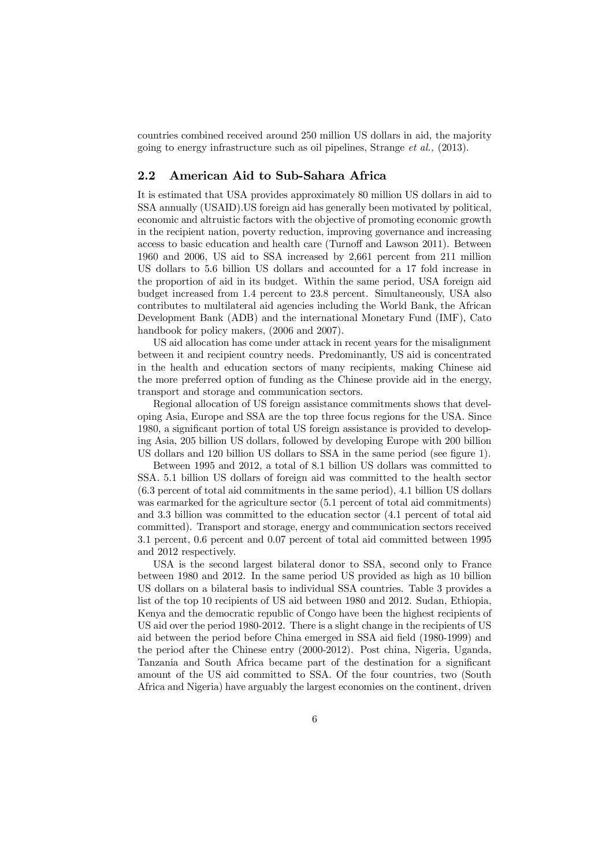countries combined received around 250 million US dollars in aid, the majority going to energy infrastructure such as oil pipelines, Strange *et al.,* (2013).

#### 2.2 American Aid to Sub-Sahara Africa

It is estimated that USA provides approximately 80 million US dollars in aid to SSA annually (USAID).US foreign aid has generally been motivated by political, economic and altruistic factors with the objective of promoting economic growth in the recipient nation, poverty reduction, improving governance and increasing access to basic education and health care (Turnoff and Lawson 2011). Between 1960 and 2006, US aid to SSA increased by 2,661 percent from 211 million US dollars to 5.6 billion US dollars and accounted for a 17 fold increase in the proportion of aid in its budget. Within the same period, USA foreign aid budget increased from 1.4 percent to 23.8 percent. Simultaneously, USA also contributes to multilateral aid agencies including the World Bank, the African Development Bank (ADB) and the international Monetary Fund (IMF), Cato handbook for policy makers, (2006 and 2007).

US aid allocation has come under attack in recent years for the misalignment between it and recipient country needs. Predominantly, US aid is concentrated in the health and education sectors of many recipients, making Chinese aid the more preferred option of funding as the Chinese provide aid in the energy, transport and storage and communication sectors.

Regional allocation of US foreign assistance commitments shows that developing Asia, Europe and SSA are the top three focus regions for the USA. Since 1980, a significant portion of total US foreign assistance is provided to developing Asia, 205 billion US dollars, followed by developing Europe with 200 billion US dollars and 120 billion US dollars to SSA in the same period (see figure 1).

Between 1995 and 2012, a total of 8.1 billion US dollars was committed to SSA. 5.1 billion US dollars of foreign aid was committed to the health sector (6.3 percent of total aid commitments in the same period), 4.1 billion US dollars was earmarked for the agriculture sector (5.1 percent of total aid commitments) and 3.3 billion was committed to the education sector (4.1 percent of total aid committed). Transport and storage, energy and communication sectors received 3.1 percent, 0.6 percent and 0.07 percent of total aid committed between 1995 and 2012 respectively.

USA is the second largest bilateral donor to SSA, second only to France between 1980 and 2012. In the same period US provided as high as 10 billion US dollars on a bilateral basis to individual SSA countries. Table 3 provides a list of the top 10 recipients of US aid between 1980 and 2012. Sudan, Ethiopia, Kenya and the democratic republic of Congo have been the highest recipients of US aid over the period 1980-2012. There is a slight change in the recipients of US aid between the period before China emerged in SSA aid field (1980-1999) and the period after the Chinese entry (2000-2012). Post china, Nigeria, Uganda, Tanzania and South Africa became part of the destination for a significant amount of the US aid committed to SSA. Of the four countries, two (South Africa and Nigeria) have arguably the largest economies on the continent, driven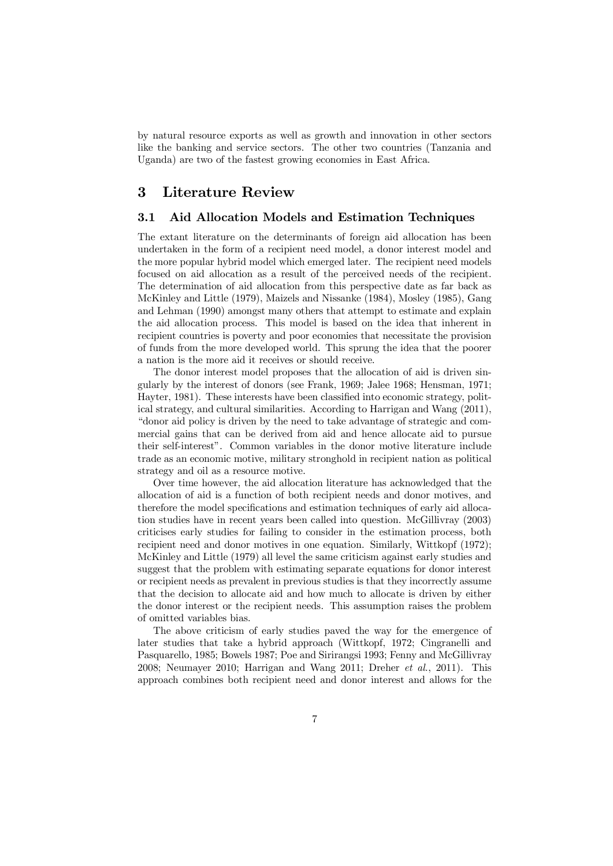by natural resource exports as well as growth and innovation in other sectors like the banking and service sectors. The other two countries (Tanzania and Uganda) are two of the fastest growing economies in East Africa.

## 3 Literature Review

#### 3.1 Aid Allocation Models and Estimation Techniques

The extant literature on the determinants of foreign aid allocation has been undertaken in the form of a recipient need model, a donor interest model and the more popular hybrid model which emerged later. The recipient need models focused on aid allocation as a result of the perceived needs of the recipient. The determination of aid allocation from this perspective date as far back as McKinley and Little (1979), Maizels and Nissanke (1984), Mosley (1985), Gang and Lehman (1990) amongst many others that attempt to estimate and explain the aid allocation process. This model is based on the idea that inherent in recipient countries is poverty and poor economies that necessitate the provision of funds from the more developed world. This sprung the idea that the poorer a nation is the more aid it receives or should receive.

The donor interest model proposes that the allocation of aid is driven singularly by the interest of donors (see Frank, 1969; Jalee 1968; Hensman, 1971; Hayter, 1981). These interests have been classified into economic strategy, political strategy, and cultural similarities. According to Harrigan and Wang (2011), "donor aid policy is driven by the need to take advantage of strategic and commercial gains that can be derived from aid and hence allocate aid to pursue their self-interest". Common variables in the donor motive literature include trade as an economic motive, military stronghold in recipient nation as political strategy and oil as a resource motive.

Over time however, the aid allocation literature has acknowledged that the allocation of aid is a function of both recipient needs and donor motives, and therefore the model specifications and estimation techniques of early aid allocation studies have in recent years been called into question. McGillivray (2003) criticises early studies for failing to consider in the estimation process, both recipient need and donor motives in one equation. Similarly, Wittkopf (1972); McKinley and Little (1979) all level the same criticism against early studies and suggest that the problem with estimating separate equations for donor interest or recipient needs as prevalent in previous studies is that they incorrectly assume that the decision to allocate aid and how much to allocate is driven by either the donor interest or the recipient needs. This assumption raises the problem of omitted variables bias.

The above criticism of early studies paved the way for the emergence of later studies that take a hybrid approach (Wittkopf, 1972; Cingranelli and Pasquarello, 1985; Bowels 1987; Poe and Sirirangsi 1993; Fenny and McGillivray 2008; Neumayer 2010; Harrigan and Wang 2011; Dreher *et al.*, 2011). This approach combines both recipient need and donor interest and allows for the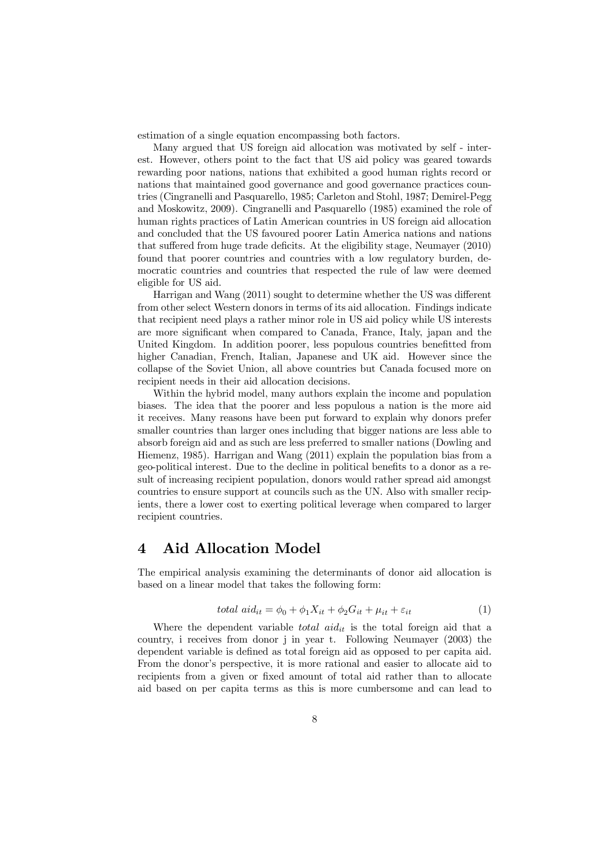estimation of a single equation encompassing both factors.

Many argued that US foreign aid allocation was motivated by self - interest. However, others point to the fact that US aid policy was geared towards rewarding poor nations, nations that exhibited a good human rights record or nations that maintained good governance and good governance practices countries (Cingranelli and Pasquarello, 1985; Carleton and Stohl, 1987; Demirel-Pegg and Moskowitz, 2009). Cingranelli and Pasquarello (1985) examined the role of human rights practices of Latin American countries in US foreign aid allocation and concluded that the US favoured poorer Latin America nations and nations that suffered from huge trade deficits. At the eligibility stage, Neumayer  $(2010)$ found that poorer countries and countries with a low regulatory burden, democratic countries and countries that respected the rule of law were deemed eligible for US aid.

Harrigan and Wang  $(2011)$  sought to determine whether the US was different from other select Western donors in terms of its aid allocation. Findings indicate that recipient need plays a rather minor role in US aid policy while US interests are more significant when compared to Canada, France, Italy, japan and the United Kingdom. In addition poorer, less populous countries benefitted from higher Canadian, French, Italian, Japanese and UK aid. However since the collapse of the Soviet Union, all above countries but Canada focused more on recipient needs in their aid allocation decisions.

Within the hybrid model, many authors explain the income and population biases. The idea that the poorer and less populous a nation is the more aid it receives. Many reasons have been put forward to explain why donors prefer smaller countries than larger ones including that bigger nations are less able to absorb foreign aid and as such are less preferred to smaller nations (Dowling and Hiemenz, 1985). Harrigan and Wang (2011) explain the population bias from a geo-political interest. Due to the decline in political benefits to a donor as a result of increasing recipient population, donors would rather spread aid amongst countries to ensure support at councils such as the UN. Also with smaller recipients, there a lower cost to exerting political leverage when compared to larger recipient countries.

## 4 Aid Allocation Model

The empirical analysis examining the determinants of donor aid allocation is based on a linear model that takes the following form:

total 
$$
aid_{it} = \phi_0 + \phi_1 X_{it} + \phi_2 G_{it} + \mu_{it} + \varepsilon_{it}
$$
 (1)

Where the dependent variable *total aid<sub>it</sub>* is the total foreign aid that a country, i receives from donor j in year t. Following Neumayer (2003) the dependent variable is defined as total foreign aid as opposed to per capita aid. From the donor's perspective, it is more rational and easier to allocate aid to recipients from a given or fixed amount of total aid rather than to allocate aid based on per capita terms as this is more cumbersome and can lead to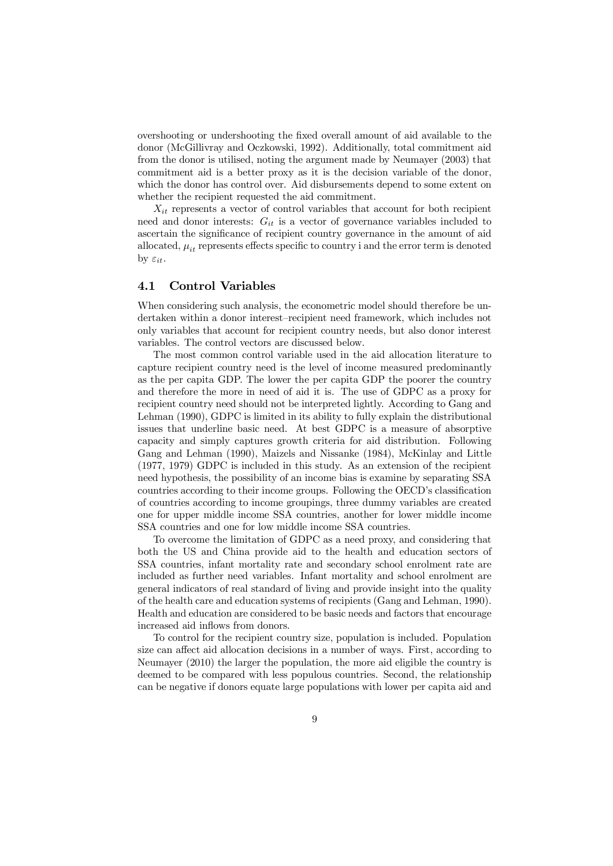overshooting or undershooting the fixed overall amount of aid available to the donor (McGillivray and Oczkowski, 1992). Additionally, total commitment aid from the donor is utilised, noting the argument made by Neumayer (2003) that commitment aid is a better proxy as it is the decision variable of the donor, which the donor has control over. Aid disbursements depend to some extent on whether the recipient requested the aid commitment.

 $X_{it}$  represents a vector of control variables that account for both recipient need and donor interests:  $G_{it}$  is a vector of governance variables included to ascertain the significance of recipient country governance in the amount of aid allocated,  $\mu_{it}$  represents effects specific to country i and the error term is denoted by  $\varepsilon_{it}$ .

#### 4.1 Control Variables

When considering such analysis, the econometric model should therefore be undertaken within a donor interest–recipient need framework, which includes not only variables that account for recipient country needs, but also donor interest variables. The control vectors are discussed below.

The most common control variable used in the aid allocation literature to capture recipient country need is the level of income measured predominantly as the per capita GDP. The lower the per capita GDP the poorer the country and therefore the more in need of aid it is. The use of GDPC as a proxy for recipient country need should not be interpreted lightly. According to Gang and Lehman (1990), GDPC is limited in its ability to fully explain the distributional issues that underline basic need. At best GDPC is a measure of absorptive capacity and simply captures growth criteria for aid distribution. Following Gang and Lehman (1990), Maizels and Nissanke (1984), McKinlay and Little (1977, 1979) GDPC is included in this study. As an extension of the recipient need hypothesis, the possibility of an income bias is examine by separating SSA countries according to their income groups. Following the OECD's classification of countries according to income groupings, three dummy variables are created one for upper middle income SSA countries, another for lower middle income SSA countries and one for low middle income SSA countries.

To overcome the limitation of GDPC as a need proxy, and considering that both the US and China provide aid to the health and education sectors of SSA countries, infant mortality rate and secondary school enrolment rate are included as further need variables. Infant mortality and school enrolment are general indicators of real standard of living and provide insight into the quality of the health care and education systems of recipients (Gang and Lehman, 1990). Health and education are considered to be basic needs and factors that encourage increased aid inflows from donors.

To control for the recipient country size, population is included. Population size can affect aid allocation decisions in a number of ways. First, according to Neumayer (2010) the larger the population, the more aid eligible the country is deemed to be compared with less populous countries. Second, the relationship can be negative if donors equate large populations with lower per capita aid and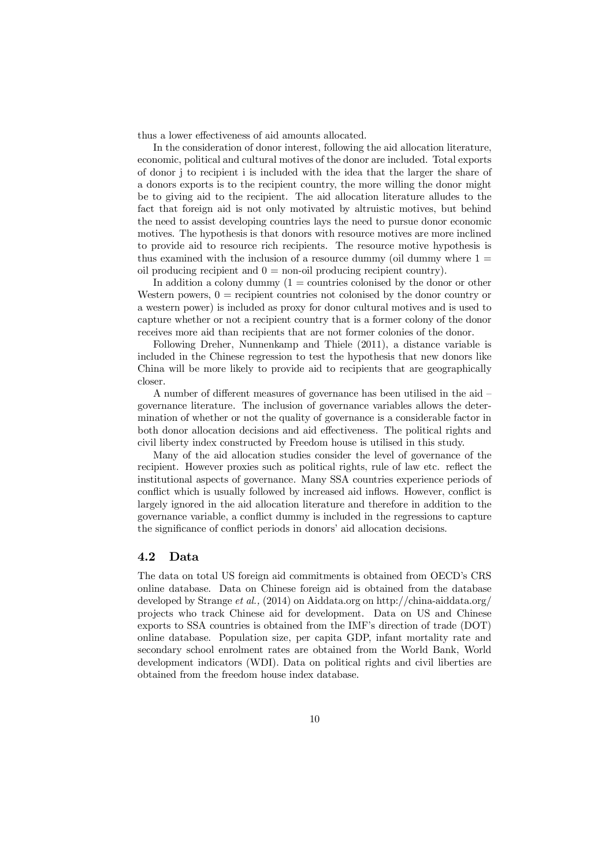thus a lower effectiveness of aid amounts allocated.

In the consideration of donor interest, following the aid allocation literature, economic, political and cultural motives of the donor are included. Total exports of donor j to recipient i is included with the idea that the larger the share of a donors exports is to the recipient country, the more willing the donor might be to giving aid to the recipient. The aid allocation literature alludes to the fact that foreign aid is not only motivated by altruistic motives, but behind the need to assist developing countries lays the need to pursue donor economic motives. The hypothesis is that donors with resource motives are more inclined to provide aid to resource rich recipients. The resource motive hypothesis is thus examined with the inclusion of a resource dummy (oil dummy where  $1 =$ oil producing recipient and  $0 =$  non-oil producing recipient country).

In addition a colony dummy  $(1 = \text{countries}$  colonised by the donor or other Western powers,  $0 =$  recipient countries not colonised by the donor country or a western power) is included as proxy for donor cultural motives and is used to capture whether or not a recipient country that is a former colony of the donor receives more aid than recipients that are not former colonies of the donor.

Following Dreher, Nunnenkamp and Thiele (2011), a distance variable is included in the Chinese regression to test the hypothesis that new donors like China will be more likely to provide aid to recipients that are geographically closer.

A number of different measures of governance has been utilised in the aid governance literature. The inclusion of governance variables allows the determination of whether or not the quality of governance is a considerable factor in both donor allocation decisions and aid effectiveness. The political rights and civil liberty index constructed by Freedom house is utilised in this study.

Many of the aid allocation studies consider the level of governance of the recipient. However proxies such as political rights, rule of law etc. reflect the institutional aspects of governance. Many SSA countries experience periods of conflict which is usually followed by increased aid inflows. However, conflict is largely ignored in the aid allocation literature and therefore in addition to the governance variable, a conflict dummy is included in the regressions to capture the significance of conflict periods in donors' aid allocation decisions.

#### 4.2 Data

The data on total US foreign aid commitments is obtained from OECD's CRS online database. Data on Chinese foreign aid is obtained from the database developed by Strange *et al.,* (2014) on Aiddata.org on http://china-aiddata.org/ projects who track Chinese aid for development. Data on US and Chinese exports to SSA countries is obtained from the IMF's direction of trade (DOT) online database. Population size, per capita GDP, infant mortality rate and secondary school enrolment rates are obtained from the World Bank, World development indicators (WDI). Data on political rights and civil liberties are obtained from the freedom house index database.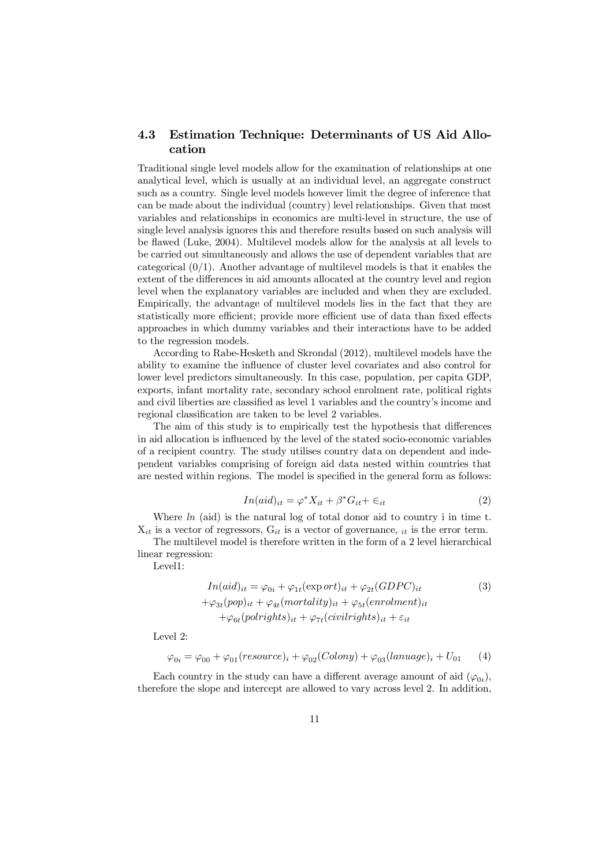#### 4.3 Estimation Technique: Determinants of US Aid Allocation

Traditional single level models allow for the examination of relationships at one analytical level, which is usually at an individual level, an aggregate construct such as a country. Single level models however limit the degree of inference that can be made about the individual (country) level relationships. Given that most variables and relationships in economics are multi-level in structure, the use of single level analysis ignores this and therefore results based on such analysis will be flawed (Luke, 2004). Multilevel models allow for the analysis at all levels to be carried out simultaneously and allows the use of dependent variables that are categorical  $(0/1)$ . Another advantage of multilevel models is that it enables the extent of the differences in aid amounts allocated at the country level and region level when the explanatory variables are included and when they are excluded. Empirically, the advantage of multilevel models lies in the fact that they are statistically more efficient; provide more efficient use of data than fixed effects approaches in which dummy variables and their interactions have to be added to the regression models.

According to Rabe-Hesketh and Skrondal (2012), multilevel models have the ability to examine the influence of cluster level covariates and also control for lower level predictors simultaneously. In this case, population, per capita GDP, exports, infant mortality rate, secondary school enrolment rate, political rights and civil liberties are classified as level 1 variables and the country's income and regional classification are taken to be level 2 variables.

The aim of this study is to empirically test the hypothesis that differences in aid allocation is influenced by the level of the stated socio-economic variables of a recipient country. The study utilises country data on dependent and independent variables comprising of foreign aid data nested within countries that are nested within regions. The model is specified in the general form as follows:

$$
In (aid)_{it} = \varphi^* X_{it} + \beta^* G_{it} + \epsilon_{it}
$$
\n<sup>(2)</sup>

Where *ln* (aid) is the natural log of total donor aid to country i in time t.  $X_{it}$  is a vector of regressors,  $G_{it}$  is a vector of governance,  $_{it}$  is the error term.

The multilevel model is therefore written in the form of a 2 level hierarchical linear regression:

Level1:

$$
In (aid)_{it} = \varphi_{0i} + \varphi_{1t}(\exp ort)_{it} + \varphi_{2t}(GDPC)_{it}
$$
  
+ $\varphi_{3t}(pop)_{it} + \varphi_{4t}(mortality)_{it} + \varphi_{5t}(enrolment)_{it}$   
+ $\varphi_{6t}(pol rights)_{it} + \varphi_{7t}(civil rights)_{it} + \varepsilon_{it}$  (1)

Level 2:

$$
\varphi_{0i} = \varphi_{00} + \varphi_{01}(resource)_i + \varphi_{02}(Colony) + \varphi_{03}(language)_i + U_{01} \tag{4}
$$

Each country in the study can have a different average amount of aid  $(\varphi_{0i})$ , therefore the slope and intercept are allowed to vary across level 2. In addition,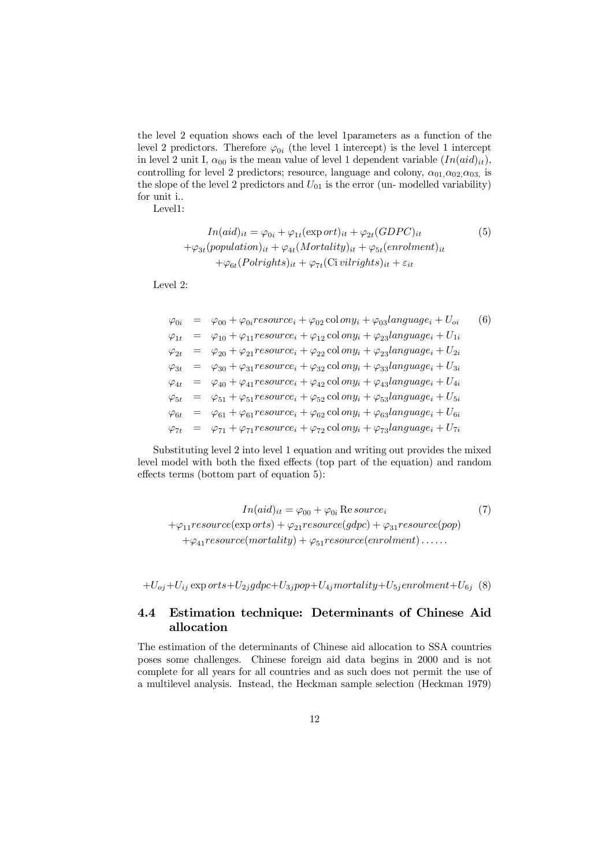the level 2 equation shows each of the level 1parameters as a function of the level 2 predictors. Therefore  $\varphi_{0i}$  (the level 1 intercept) is the level 1 intercept in level 2 unit I,  $\alpha_{00}$  is the mean value of level 1 dependent variable  $(In(id]_{it})$ , controlling for level 2 predictors; resource, language and colony,  $\alpha_{01}, \alpha_{02}, \alpha_{03}$ , is the slope of the level 2 predictors and  $U_{01}$  is the error (un- modelled variability) for unit i..

Level1:

$$
In (aid)_{it} = \varphi_{0i} + \varphi_{1t}(\exp ort_{it})_{it} + \varphi_{2t}(GDPC)_{it}
$$
  
+ $\varphi_{3t}(population)_{it} + \varphi_{4t}(Mortality)_{it} + \varphi_{5t}(enrolment)_{it}$   
+ $\varphi_{6t}(Polrights)_{it} + \varphi_{7t}(Civirights)_{it} + \varepsilon_{it}$  (1)

Level 2:

$$
\varphi_{0i} = \varphi_{00} + \varphi_{0i}resource_i + \varphi_{02} \text{col} \text{ on } y_i + \varphi_{03}language_i + U_{oi} \qquad (6)
$$
\n
$$
\varphi_{1t} = \varphi_{10} + \varphi_{11}resource_i + \varphi_{12} \text{col} \text{ on } y_i + \varphi_{23}language_i + U_{1i}
$$
\n
$$
\varphi_{2t} = \varphi_{20} + \varphi_{21}resource_i + \varphi_{22} \text{col} \text{ on } y_i + \varphi_{23}language_i + U_{2i}
$$
\n
$$
\varphi_{3t} = \varphi_{30} + \varphi_{31}resource_i + \varphi_{32} \text{col} \text{ on } y_i + \varphi_{33}language_i + U_{3i}
$$
\n
$$
\varphi_{4t} = \varphi_{40} + \varphi_{41}resource_i + \varphi_{42} \text{col} \text{ on } y_i + \varphi_{43}language_i + U_{4i}
$$
\n
$$
\varphi_{5t} = \varphi_{51} + \varphi_{51}resource_i + \varphi_{52} \text{col} \text{ on } y_i + \varphi_{53}language_i + U_{5i}
$$
\n
$$
\varphi_{6t} = \varphi_{61} + \varphi_{61}resource_i + \varphi_{62} \text{col} \text{ on } y_i + \varphi_{63}language_i + U_{6i}
$$
\n
$$
\varphi_{7t} = \varphi_{71} + \varphi_{71}resource_i + \varphi_{72} \text{col} \text{ on } y_i + \varphi_{73}language_i + U_{7i}
$$

Substituting level 2 into level 1 equation and writing out provides the mixed level model with both the fixed effects (top part of the equation) and random effects terms (bottom part of equation  $5$ ):

$$
In (aid)_{it} = \varphi_{00} + \varphi_{0i} \text{ Re source}_{i}
$$
\n
$$
+ \varphi_{11} resource(\exp orts) + \varphi_{21} resource(gdpc) + \varphi_{31} resource(pop)
$$
\n
$$
+ \varphi_{41} resource(mortality) + \varphi_{51} resource(enrolment) \dots
$$

 $+U_{oj}+U_{ij} \exp orts+U_{2j}gdpc+U_{3j}pop+U_{4j}mortality+U_{5j}enrolment+U_{6j} ~~(8)$ 

#### 4.4 Estimation technique: Determinants of Chinese Aid allocation

The estimation of the determinants of Chinese aid allocation to SSA countries poses some challenges. Chinese foreign aid data begins in 2000 and is not complete for all years for all countries and as such does not permit the use of a multilevel analysis. Instead, the Heckman sample selection (Heckman 1979)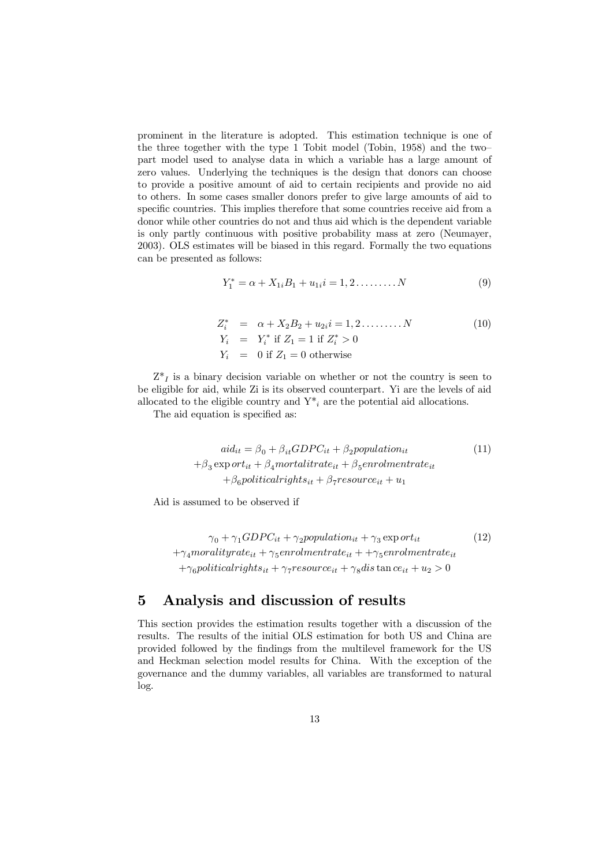prominent in the literature is adopted. This estimation technique is one of the three together with the type 1 Tobit model (Tobin, 1958) and the two– part model used to analyse data in which a variable has a large amount of zero values. Underlying the techniques is the design that donors can choose to provide a positive amount of aid to certain recipients and provide no aid to others. In some cases smaller donors prefer to give large amounts of aid to specific countries. This implies therefore that some countries receive aid from a donor while other countries do not and thus aid which is the dependent variable is only partly continuous with positive probability mass at zero (Neumayer, 2003). OLS estimates will be biased in this regard. Formally the two equations can be presented as follows:

$$
Y_1^* = \alpha + X_{1i}B_1 + u_{1i}i = 1, 2, \dots, N
$$
 (9)

$$
Z_i^* = \alpha + X_2 B_2 + u_{2i} i = 1, 2, \dots, N
$$
  
\n
$$
Y_i = Y_i^* \text{ if } Z_1 = 1 \text{ if } Z_i^* > 0
$$
  
\n
$$
Y_i = 0 \text{ if } Z_1 = 0 \text{ otherwise}
$$
\n(10)

 $Z^*$  is a binary decision variable on whether or not the country is seen to be eligible for aid, while Zi is its observed counterpart. Yi are the levels of aid allocated to the eligible country and  $Y^*_{i}$  are the potential aid allocations.

The aid equation is specified as:

$$
aid_{it} = \beta_0 + \beta_{it} GDPC_{it} + \beta_2 population_{it}
$$
  
+ $\beta_3$ exp  $ort_{it} + \beta_4$ mortalitrate<sub>it</sub> +  $\beta_5$ enrolmentrate<sub>it</sub>  
+ $\beta_6$ politicalrights<sub>it</sub> +  $\beta_7$ resource<sub>it</sub> +  $u_1$ 

Aid is assumed to be observed if

$$
\gamma_0 + \gamma_1 GDPC_{it} + \gamma_2 population_{it} + \gamma_3 \exp{ort}_{it}
$$
\n
$$
+ \gamma_4 moralityrate_{it} + \gamma_5 enrolmentrate_{it} + \gamma_5 enrolmentrate_{it}
$$
\n
$$
+ \gamma_6 political rights_{it} + \gamma_7 resonance_{it} + \gamma_8 dis \tan{ce}_{it} + u_2 > 0
$$
\n
$$
(12)
$$

## 5 Analysis and discussion of results

This section provides the estimation results together with a discussion of the results. The results of the initial OLS estimation for both US and China are provided followed by the findings from the multilevel framework for the US and Heckman selection model results for China. With the exception of the governance and the dummy variables, all variables are transformed to natural log.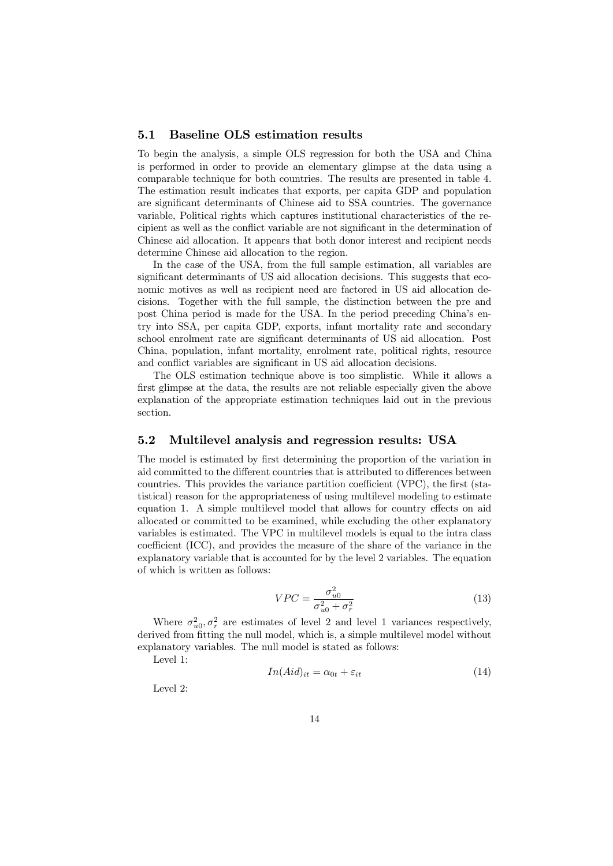#### 5.1 Baseline OLS estimation results

To begin the analysis, a simple OLS regression for both the USA and China is performed in order to provide an elementary glimpse at the data using a comparable technique for both countries. The results are presented in table 4. The estimation result indicates that exports, per capita GDP and population are significant determinants of Chinese aid to SSA countries. The governance variable, Political rights which captures institutional characteristics of the recipient as well as the conflict variable are not significant in the determination of Chinese aid allocation. It appears that both donor interest and recipient needs determine Chinese aid allocation to the region.

In the case of the USA, from the full sample estimation, all variables are significant determinants of US aid allocation decisions. This suggests that economic motives as well as recipient need are factored in US aid allocation decisions. Together with the full sample, the distinction between the pre and post China period is made for the USA. In the period preceding China's entry into SSA, per capita GDP, exports, infant mortality rate and secondary school enrolment rate are significant determinants of US aid allocation. Post China, population, infant mortality, enrolment rate, political rights, resource and conflict variables are significant in US aid allocation decisions.

The OLS estimation technique above is too simplistic. While it allows a first glimpse at the data, the results are not reliable especially given the above explanation of the appropriate estimation techniques laid out in the previous section.

#### 5.2 Multilevel analysis and regression results: USA

The model is estimated by first determining the proportion of the variation in aid committed to the different countries that is attributed to differences between countries. This provides the variance partition coefficient  $(VPC)$ , the first (statistical) reason for the appropriateness of using multilevel modeling to estimate equation 1. A simple multilevel model that allows for country effects on aid allocated or committed to be examined, while excluding the other explanatory variables is estimated. The VPC in multilevel models is equal to the intra class coefficient (ICC), and provides the measure of the share of the variance in the explanatory variable that is accounted for by the level 2 variables. The equation of which is written as follows:

$$
VPC = \frac{\sigma_{u0}^2}{\sigma_{u0}^2 + \sigma_r^2}
$$
\n
$$
\tag{13}
$$

Where  $\sigma_{u0}^2$ ,  $\sigma_r^2$  are estimates of level 2 and level 1 variances respectively, derived from fitting the null model, which is, a simple multilevel model without explanatory variables. The null model is stated as follows:

Level 1:

$$
In(Aid)_{it} = \alpha_{0t} + \varepsilon_{it} \tag{14}
$$

Level 2: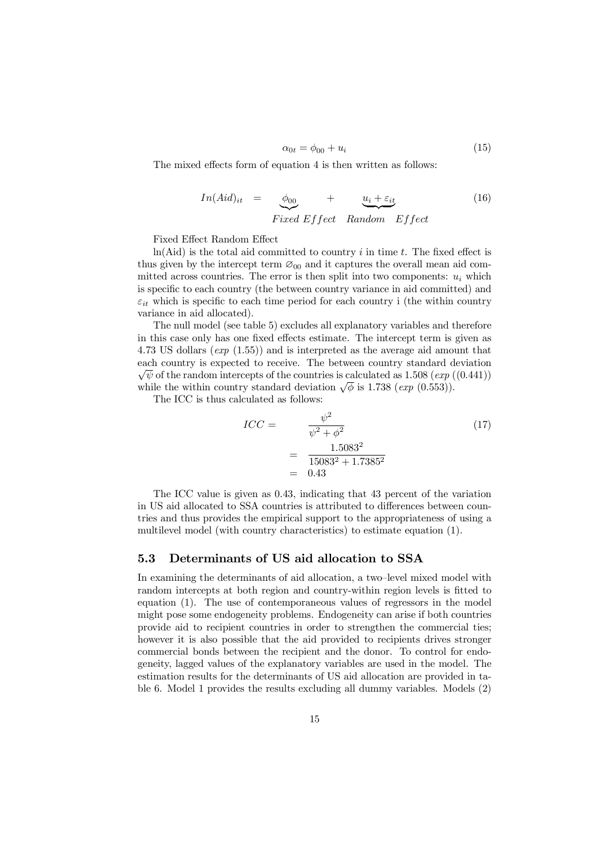$$
\alpha_{0t} = \phi_{00} + u_i \tag{15}
$$

The mixed effects form of equation 4 is then written as follows:

$$
In(Aid)_{it} = \underbrace{\phi_{00}}_{Fixed\ Effect} + \underbrace{u_i + \varepsilon_{it}}_{Random\ Effect}
$$
 (16)

Fixed Effect Random Effect

 $ln(Aid)$  is the total aid committed to country i in time t. The fixed effect is thus given by the intercept term  $\mathcal{O}_{00}$  and it captures the overall mean aid committed across countries. The error is then split into two components:  $u_i$  which is specific to each country (the between country variance in aid committed) and  $\varepsilon_{it}$  which is specific to each time period for each country i (the within country variance in aid allocated).

The null model (see table 5) excludes all explanatory variables and therefore in this case only has one fixed effects estimate. The intercept term is given as 4.73 US dollars (*exp* (1.55)) and is interpreted as the average aid amount that each country is expected to receive. The between country standard deviation  $\sqrt{\psi}$  of the random intercepts of the countries is calculated as 1.508 (*exp* ((0.441)) while the within country standard deviation  $\sqrt{\phi}$  is 1.738 (*exp* (0.553)).

The ICC is thus calculated as follows:

$$
ICC = \frac{\psi^2}{\psi^2 + \phi^2}
$$
\n
$$
= \frac{1.5083^2}{15083^2 + 1.7385^2}
$$
\n
$$
= 0.43
$$
\n(17)

The ICC value is given as 0.43, indicating that 43 percent of the variation in US aid allocated to SSA countries is attributed to differences between countries and thus provides the empirical support to the appropriateness of using a multilevel model (with country characteristics) to estimate equation (1).

#### 5.3 Determinants of US aid allocation to SSA

In examining the determinants of aid allocation, a two–level mixed model with random intercepts at both region and country-within region levels is fitted to equation (1). The use of contemporaneous values of regressors in the model might pose some endogeneity problems. Endogeneity can arise if both countries provide aid to recipient countries in order to strengthen the commercial ties; however it is also possible that the aid provided to recipients drives stronger commercial bonds between the recipient and the donor. To control for endogeneity, lagged values of the explanatory variables are used in the model. The estimation results for the determinants of US aid allocation are provided in table 6. Model 1 provides the results excluding all dummy variables. Models (2)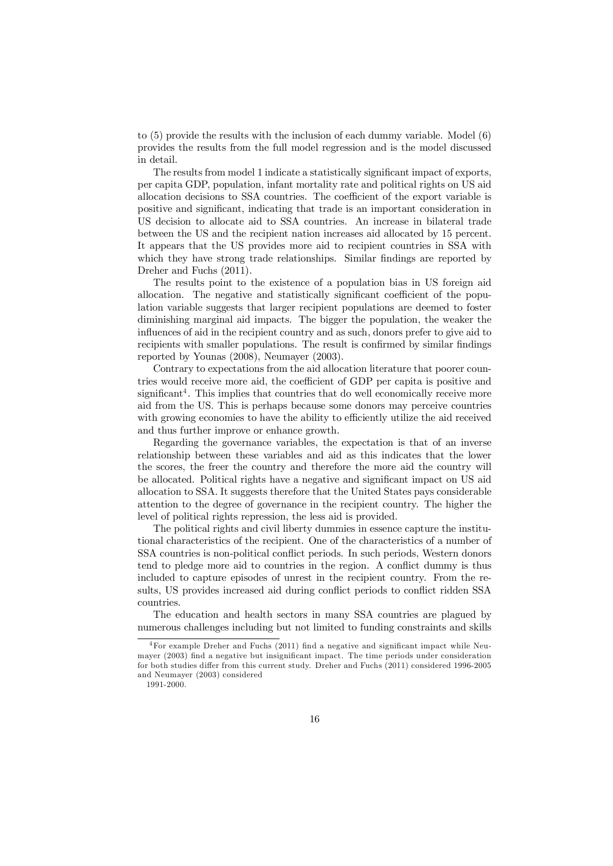to (5) provide the results with the inclusion of each dummy variable. Model (6) provides the results from the full model regression and is the model discussed in detail.

The results from model 1 indicate a statistically significant impact of exports, per capita GDP, population, infant mortality rate and political rights on US aid allocation decisions to SSA countries. The coefficient of the export variable is positive and significant, indicating that trade is an important consideration in US decision to allocate aid to SSA countries. An increase in bilateral trade between the US and the recipient nation increases aid allocated by 15 percent. It appears that the US provides more aid to recipient countries in SSA with which they have strong trade relationships. Similar findings are reported by Dreher and Fuchs (2011).

The results point to the existence of a population bias in US foreign aid allocation. The negative and statistically significant coefficient of the population variable suggests that larger recipient populations are deemed to foster diminishing marginal aid impacts. The bigger the population, the weaker the influences of aid in the recipient country and as such, donors prefer to give aid to recipients with smaller populations. The result is confirmed by similar findings reported by Younas (2008), Neumayer (2003).

Contrary to expectations from the aid allocation literature that poorer countries would receive more aid, the coefficient of GDP per capita is positive and significant<sup>4</sup>. This implies that countries that do well economically receive more aid from the US. This is perhaps because some donors may perceive countries with growing economies to have the ability to efficiently utilize the aid received and thus further improve or enhance growth.

Regarding the governance variables, the expectation is that of an inverse relationship between these variables and aid as this indicates that the lower the scores, the freer the country and therefore the more aid the country will be allocated. Political rights have a negative and significant impact on US aid allocation to SSA. It suggests therefore that the United States pays considerable attention to the degree of governance in the recipient country. The higher the level of political rights repression, the less aid is provided.

The political rights and civil liberty dummies in essence capture the institutional characteristics of the recipient. One of the characteristics of a number of SSA countries is non-political conflict periods. In such periods, Western donors tend to pledge more aid to countries in the region. A conflict dummy is thus included to capture episodes of unrest in the recipient country. From the results, US provides increased aid during conflict periods to conflict ridden SSA countries.

The education and health sectors in many SSA countries are plagued by numerous challenges including but not limited to funding constraints and skills

 $^{4}$ For example Dreher and Fuchs (2011) find a negative and significant impact while Neumayer  $(2003)$  find a negative but insignificant impact. The time periods under consideration for both studies differ from this current study. Dreher and Fuchs (2011) considered 1996-2005 and Neumayer (2003) considered

<sup>1991-2000.</sup>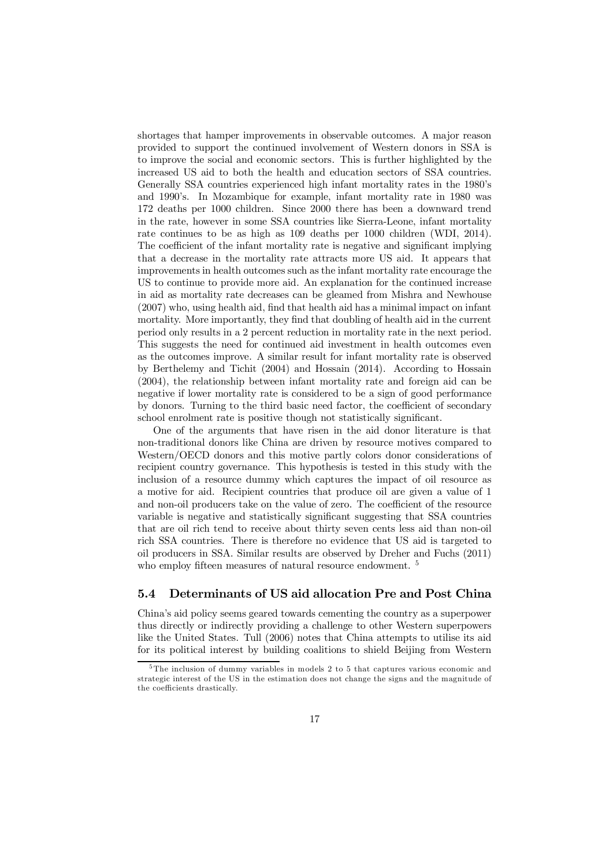shortages that hamper improvements in observable outcomes. A major reason provided to support the continued involvement of Western donors in SSA is to improve the social and economic sectors. This is further highlighted by the increased US aid to both the health and education sectors of SSA countries. Generally SSA countries experienced high infant mortality rates in the 1980's and 1990's. In Mozambique for example, infant mortality rate in 1980 was 172 deaths per 1000 children. Since 2000 there has been a downward trend in the rate, however in some SSA countries like Sierra-Leone, infant mortality rate continues to be as high as 109 deaths per 1000 children (WDI, 2014). The coefficient of the infant mortality rate is negative and significant implying that a decrease in the mortality rate attracts more US aid. It appears that improvements in health outcomes such as the infant mortality rate encourage the US to continue to provide more aid. An explanation for the continued increase in aid as mortality rate decreases can be gleamed from Mishra and Newhouse  $(2007)$  who, using health aid, find that health aid has a minimal impact on infant mortality. More importantly, they find that doubling of health aid in the current period only results in a 2 percent reduction in mortality rate in the next period. This suggests the need for continued aid investment in health outcomes even as the outcomes improve. A similar result for infant mortality rate is observed by Berthelemy and Tichit (2004) and Hossain (2014). According to Hossain (2004), the relationship between infant mortality rate and foreign aid can be negative if lower mortality rate is considered to be a sign of good performance by donors. Turning to the third basic need factor, the coefficient of secondary school enrolment rate is positive though not statistically significant.

One of the arguments that have risen in the aid donor literature is that non-traditional donors like China are driven by resource motives compared to Western/OECD donors and this motive partly colors donor considerations of recipient country governance. This hypothesis is tested in this study with the inclusion of a resource dummy which captures the impact of oil resource as a motive for aid. Recipient countries that produce oil are given a value of 1 and non-oil producers take on the value of zero. The coefficient of the resource variable is negative and statistically significant suggesting that SSA countries that are oil rich tend to receive about thirty seven cents less aid than non-oil rich SSA countries. There is therefore no evidence that US aid is targeted to oil producers in SSA. Similar results are observed by Dreher and Fuchs (2011) who employ fifteen measures of natural resource endowment. <sup>5</sup>

#### 5.4 Determinants of US aid allocation Pre and Post China

China's aid policy seems geared towards cementing the country as a superpower thus directly or indirectly providing a challenge to other Western superpowers like the United States. Tull (2006) notes that China attempts to utilise its aid for its political interest by building coalitions to shield Beijing from Western

<sup>5</sup>The inclusion of dummy variables in models 2 to 5 that captures various economic and strategic interest of the US in the estimation does not change the signs and the magnitude of the coefficients drastically.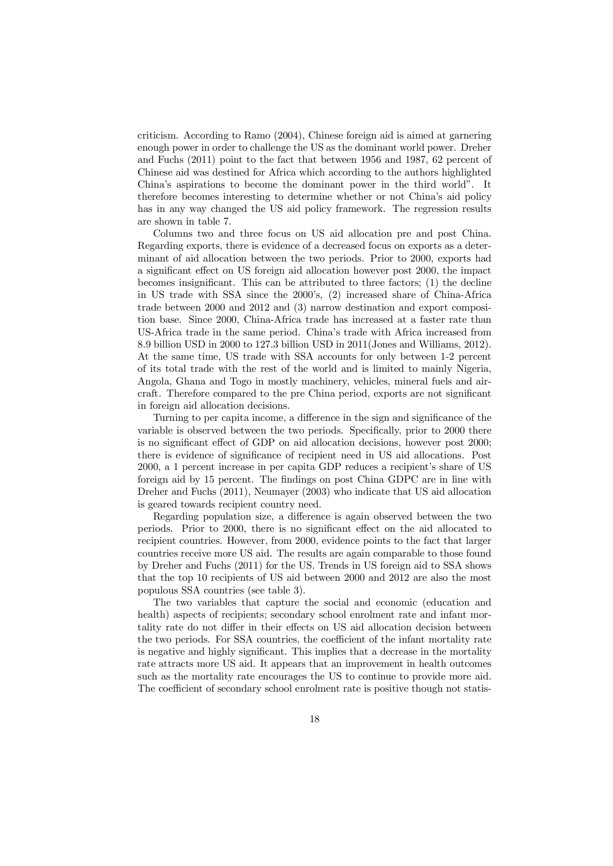criticism. According to Ramo (2004), Chinese foreign aid is aimed at garnering enough power in order to challenge the US as the dominant world power. Dreher and Fuchs (2011) point to the fact that between 1956 and 1987, 62 percent of Chinese aid was destined for Africa which according to the authors highlighted China's aspirations to become the dominant power in the third world". It therefore becomes interesting to determine whether or not China's aid policy has in any way changed the US aid policy framework. The regression results are shown in table 7.

Columns two and three focus on US aid allocation pre and post China. Regarding exports, there is evidence of a decreased focus on exports as a determinant of aid allocation between the two periods. Prior to 2000, exports had a significant effect on US foreign aid allocation however post 2000, the impact becomes insignificant. This can be attributed to three factors;  $(1)$  the decline in US trade with SSA since the 2000's, (2) increased share of China-Africa trade between 2000 and 2012 and (3) narrow destination and export composition base. Since 2000, China-Africa trade has increased at a faster rate than US-Africa trade in the same period. China's trade with Africa increased from 8.9 billion USD in 2000 to 127.3 billion USD in 2011(Jones and Williams, 2012). At the same time, US trade with SSA accounts for only between 1-2 percent of its total trade with the rest of the world and is limited to mainly Nigeria, Angola, Ghana and Togo in mostly machinery, vehicles, mineral fuels and aircraft. Therefore compared to the pre China period, exports are not significant in foreign aid allocation decisions.

Turning to per capita income, a difference in the sign and significance of the variable is observed between the two periods. Specifically, prior to 2000 there is no significant effect of GDP on aid allocation decisions, however post 2000; there is evidence of significance of recipient need in US aid allocations. Post 2000, a 1 percent increase in per capita GDP reduces a recipient's share of US foreign aid by 15 percent. The findings on post China GDPC are in line with Dreher and Fuchs (2011), Neumayer (2003) who indicate that US aid allocation is geared towards recipient country need.

Regarding population size, a difference is again observed between the two periods. Prior to 2000, there is no significant effect on the aid allocated to recipient countries. However, from 2000, evidence points to the fact that larger countries receive more US aid. The results are again comparable to those found by Dreher and Fuchs (2011) for the US. Trends in US foreign aid to SSA shows that the top 10 recipients of US aid between 2000 and 2012 are also the most populous SSA countries (see table 3).

The two variables that capture the social and economic (education and health) aspects of recipients; secondary school enrolment rate and infant mortality rate do not differ in their effects on US aid allocation decision between the two periods. For SSA countries, the coefficient of the infant mortality rate is negative and highly significant. This implies that a decrease in the mortality rate attracts more US aid. It appears that an improvement in health outcomes such as the mortality rate encourages the US to continue to provide more aid. The coefficient of secondary school enrolment rate is positive though not statis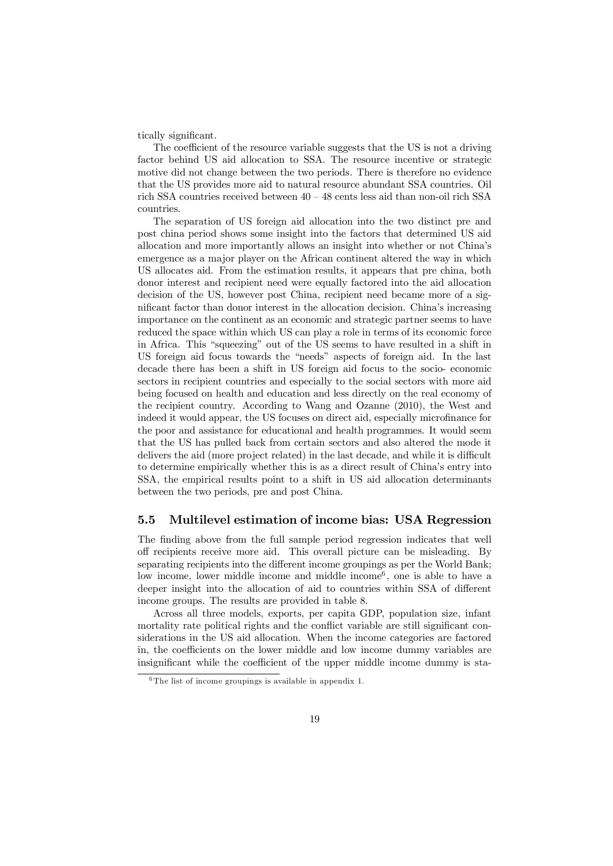tically significant.

The coefficient of the resource variable suggests that the US is not a driving factor behind US aid allocation to SSA. The resource incentive or strategic motive did not change between the two periods. There is therefore no evidence that the US provides more aid to natural resource abundant SSA countries. Oil rich SSA countries received between 40 – 48 cents less aid than non-oil rich SSA countries.

The separation of US foreign aid allocation into the two distinct pre and post china period shows some insight into the factors that determined US aid allocation and more importantly allows an insight into whether or not China's emergence as a major player on the African continent altered the way in which US allocates aid. From the estimation results, it appears that pre china, both donor interest and recipient need were equally factored into the aid allocation decision of the US, however post China, recipient need became more of a significant factor than donor interest in the allocation decision. China's increasing importance on the continent as an economic and strategic partner seems to have reduced the space within which US can play a role in terms of its economic force in Africa. This "squeezing" out of the US seems to have resulted in a shift in US foreign aid focus towards the "needs" aspects of foreign aid. In the last decade there has been a shift in US foreign aid focus to the socio- economic sectors in recipient countries and especially to the social sectors with more aid being focused on health and education and less directly on the real economy of the recipient country. According to Wang and Ozanne (2010), the West and indeed it would appear, the US focuses on direct aid, especially microfinance for the poor and assistance for educational and health programmes. It would seem that the US has pulled back from certain sectors and also altered the mode it delivers the aid (more project related) in the last decade, and while it is difficult to determine empirically whether this is as a direct result of China's entry into SSA, the empirical results point to a shift in US aid allocation determinants between the two periods, pre and post China.

#### 5.5 Multilevel estimation of income bias: USA Regression

The finding above from the full sample period regression indicates that well off recipients receive more aid. This overall picture can be misleading. By separating recipients into the different income groupings as per the World Bank; low income, lower middle income and middle income<sup> $6$ </sup>, one is able to have a deeper insight into the allocation of aid to countries within SSA of different income groups. The results are provided in table 8.

Across all three models, exports, per capita GDP, population size, infant mortality rate political rights and the conflict variable are still significant considerations in the US aid allocation. When the income categories are factored in, the coefficients on the lower middle and low income dummy variables are insignificant while the coefficient of the upper middle income dummy is sta-

 $6$ The list of income groupings is available in appendix 1.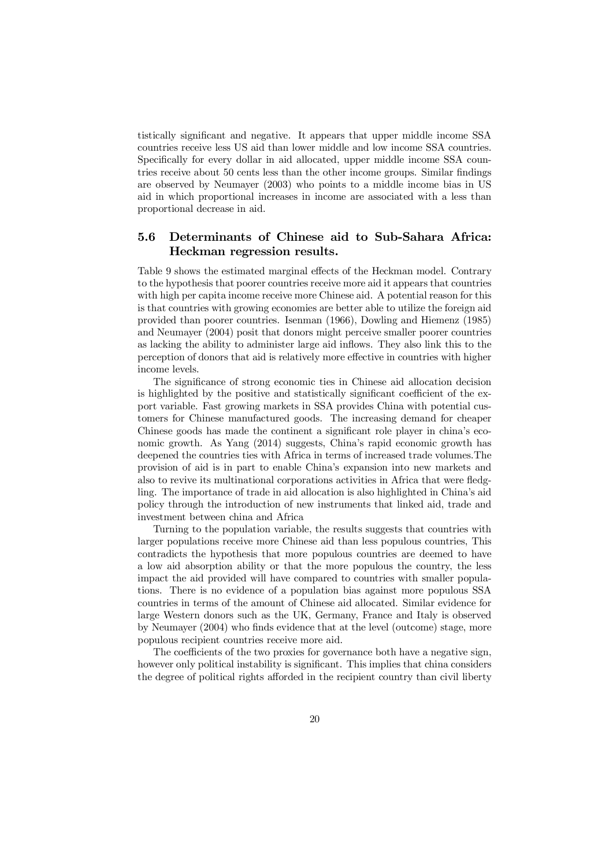tistically significant and negative. It appears that upper middle income SSA countries receive less US aid than lower middle and low income SSA countries. Specifically for every dollar in aid allocated, upper middle income SSA countries receive about 50 cents less than the other income groups. Similar findings are observed by Neumayer (2003) who points to a middle income bias in US aid in which proportional increases in income are associated with a less than proportional decrease in aid.

#### 5.6 Determinants of Chinese aid to Sub-Sahara Africa: Heckman regression results.

Table 9 shows the estimated marginal effects of the Heckman model. Contrary to the hypothesis that poorer countries receive more aid it appears that countries with high per capita income receive more Chinese aid. A potential reason for this is that countries with growing economies are better able to utilize the foreign aid provided than poorer countries. Isenman (1966), Dowling and Hiemenz (1985) and Neumayer (2004) posit that donors might perceive smaller poorer countries as lacking the ability to administer large aid in‡ows. They also link this to the perception of donors that aid is relatively more effective in countries with higher income levels.

The significance of strong economic ties in Chinese aid allocation decision is highlighted by the positive and statistically significant coefficient of the export variable. Fast growing markets in SSA provides China with potential customers for Chinese manufactured goods. The increasing demand for cheaper Chinese goods has made the continent a significant role player in china's economic growth. As Yang (2014) suggests, China's rapid economic growth has deepened the countries ties with Africa in terms of increased trade volumes.The provision of aid is in part to enable China's expansion into new markets and also to revive its multinational corporations activities in Africa that were fledgling. The importance of trade in aid allocation is also highlighted in China's aid policy through the introduction of new instruments that linked aid, trade and investment between china and Africa

Turning to the population variable, the results suggests that countries with larger populations receive more Chinese aid than less populous countries, This contradicts the hypothesis that more populous countries are deemed to have a low aid absorption ability or that the more populous the country, the less impact the aid provided will have compared to countries with smaller populations. There is no evidence of a population bias against more populous SSA countries in terms of the amount of Chinese aid allocated. Similar evidence for large Western donors such as the UK, Germany, France and Italy is observed by Neumayer  $(2004)$  who finds evidence that at the level (outcome) stage, more populous recipient countries receive more aid.

The coefficients of the two proxies for governance both have a negative sign, however only political instability is significant. This implies that china considers the degree of political rights afforded in the recipient country than civil liberty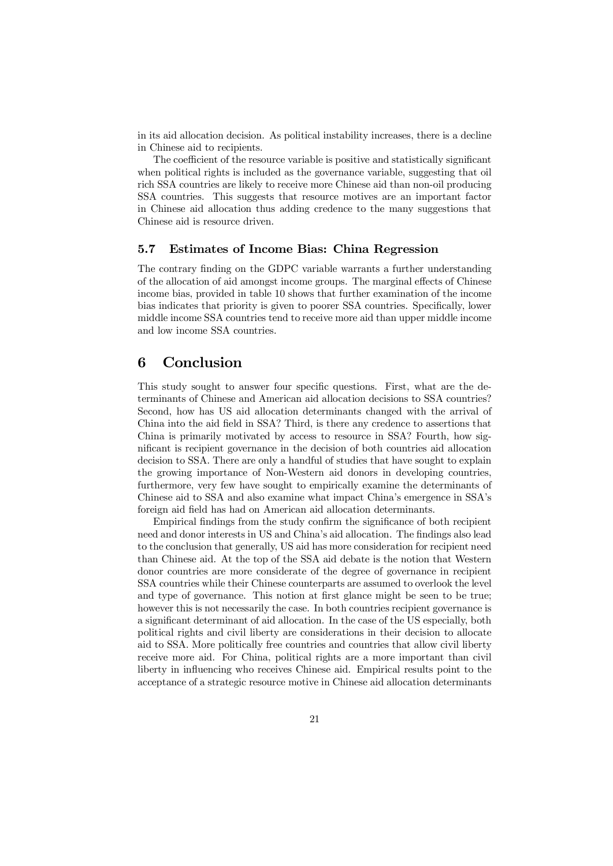in its aid allocation decision. As political instability increases, there is a decline in Chinese aid to recipients.

The coefficient of the resource variable is positive and statistically significant when political rights is included as the governance variable, suggesting that oil rich SSA countries are likely to receive more Chinese aid than non-oil producing SSA countries. This suggests that resource motives are an important factor in Chinese aid allocation thus adding credence to the many suggestions that Chinese aid is resource driven.

#### 5.7 Estimates of Income Bias: China Regression

The contrary finding on the GDPC variable warrants a further understanding of the allocation of aid amongst income groups. The marginal effects of Chinese income bias, provided in table 10 shows that further examination of the income bias indicates that priority is given to poorer SSA countries. Specifically, lower middle income SSA countries tend to receive more aid than upper middle income and low income SSA countries.

### 6 Conclusion

This study sought to answer four specific questions. First, what are the determinants of Chinese and American aid allocation decisions to SSA countries? Second, how has US aid allocation determinants changed with the arrival of China into the aid field in SSA? Third, is there any credence to assertions that China is primarily motivated by access to resource in SSA? Fourth, how significant is recipient governance in the decision of both countries aid allocation decision to SSA. There are only a handful of studies that have sought to explain the growing importance of Non-Western aid donors in developing countries, furthermore, very few have sought to empirically examine the determinants of Chinese aid to SSA and also examine what impact China's emergence in SSA's foreign aid field has had on American aid allocation determinants.

Empirical findings from the study confirm the significance of both recipient need and donor interests in US and China's aid allocation. The findings also lead to the conclusion that generally, US aid has more consideration for recipient need than Chinese aid. At the top of the SSA aid debate is the notion that Western donor countries are more considerate of the degree of governance in recipient SSA countries while their Chinese counterparts are assumed to overlook the level and type of governance. This notion at first glance might be seen to be true; however this is not necessarily the case. In both countries recipient governance is a significant determinant of aid allocation. In the case of the US especially, both political rights and civil liberty are considerations in their decision to allocate aid to SSA. More politically free countries and countries that allow civil liberty receive more aid. For China, political rights are a more important than civil liberty in influencing who receives Chinese aid. Empirical results point to the acceptance of a strategic resource motive in Chinese aid allocation determinants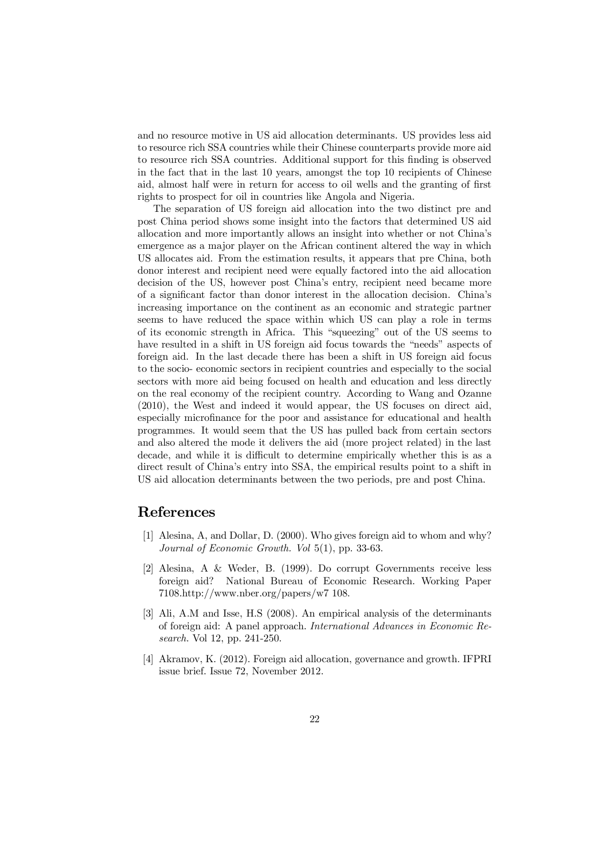and no resource motive in US aid allocation determinants. US provides less aid to resource rich SSA countries while their Chinese counterparts provide more aid to resource rich SSA countries. Additional support for this finding is observed in the fact that in the last 10 years, amongst the top 10 recipients of Chinese aid, almost half were in return for access to oil wells and the granting of first rights to prospect for oil in countries like Angola and Nigeria.

The separation of US foreign aid allocation into the two distinct pre and post China period shows some insight into the factors that determined US aid allocation and more importantly allows an insight into whether or not China's emergence as a major player on the African continent altered the way in which US allocates aid. From the estimation results, it appears that pre China, both donor interest and recipient need were equally factored into the aid allocation decision of the US, however post China's entry, recipient need became more of a significant factor than donor interest in the allocation decision. China's increasing importance on the continent as an economic and strategic partner seems to have reduced the space within which US can play a role in terms of its economic strength in Africa. This "squeezing" out of the US seems to have resulted in a shift in US foreign aid focus towards the "needs" aspects of foreign aid. In the last decade there has been a shift in US foreign aid focus to the socio- economic sectors in recipient countries and especially to the social sectors with more aid being focused on health and education and less directly on the real economy of the recipient country. According to Wang and Ozanne (2010), the West and indeed it would appear, the US focuses on direct aid, especially microfinance for the poor and assistance for educational and health programmes. It would seem that the US has pulled back from certain sectors and also altered the mode it delivers the aid (more project related) in the last decade, and while it is difficult to determine empirically whether this is as a direct result of China's entry into SSA, the empirical results point to a shift in US aid allocation determinants between the two periods, pre and post China.

#### References

- [1] Alesina, A, and Dollar, D. (2000). Who gives foreign aid to whom and why? *Journal of Economic Growth. Vol* 5(1), pp. 33-63.
- [2] Alesina, A & Weder, B. (1999). Do corrupt Governments receive less foreign aid? National Bureau of Economic Research. Working Paper 7108.http://www.nber.org/papers/w7 108.
- [3] Ali, A.M and Isse, H.S (2008). An empirical analysis of the determinants of foreign aid: A panel approach. *International Advances in Economic Research*. Vol 12, pp. 241-250.
- [4] Akramov, K. (2012). Foreign aid allocation, governance and growth. IFPRI issue brief. Issue 72, November 2012.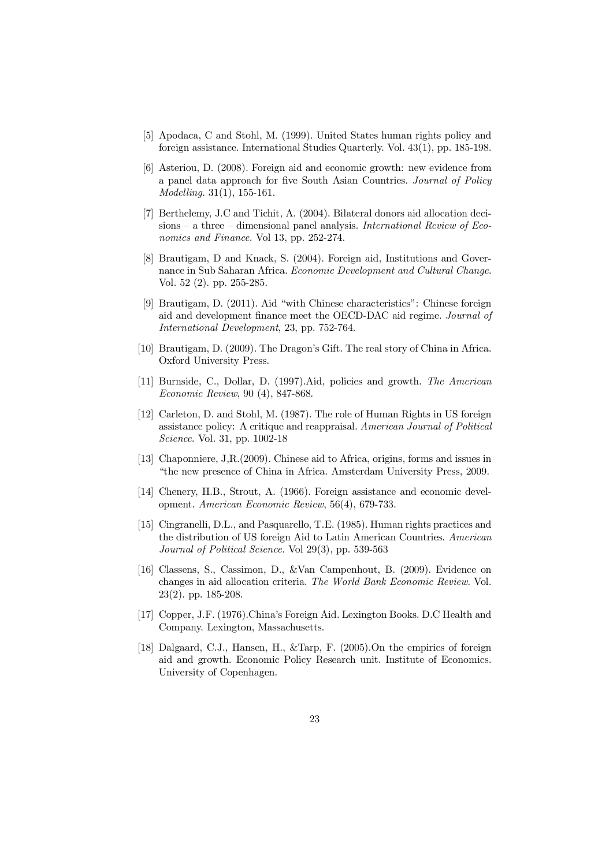- [5] Apodaca, C and Stohl, M. (1999). United States human rights policy and foreign assistance. International Studies Quarterly. Vol. 43(1), pp. 185-198.
- [6] Asteriou, D. (2008). Foreign aid and economic growth: new evidence from a panel data approach for five South Asian Countries. *Journal of Policy Modelling.* 31(1), 155-161.
- [7] Berthelemy, J.C and Tichit, A. (2004). Bilateral donors aid allocation decisions – a three – dimensional panel analysis. *International Review of Economics and Finance.* Vol 13, pp. 252-274.
- [8] Brautigam, D and Knack, S. (2004). Foreign aid, Institutions and Governance in Sub Saharan Africa. *Economic Development and Cultural Change*. Vol. 52 (2). pp. 255-285.
- [9] Brautigam, D. (2011). Aid "with Chinese characteristics": Chinese foreign aid and development finance meet the OECD-DAC aid regime. *Journal of International Development*, 23, pp. 752-764.
- [10] Brautigam, D. (2009). The Dragon's Gift. The real story of China in Africa. Oxford University Press.
- [11] Burnside, C., Dollar, D. (1997).Aid, policies and growth. *The American Economic Review*, 90 (4), 847-868.
- [12] Carleton, D. and Stohl, M. (1987). The role of Human Rights in US foreign assistance policy: A critique and reappraisal. *American Journal of Political Science*. Vol. 31, pp. 1002-18
- [13] Chaponniere, J,R.(2009). Chinese aid to Africa, origins, forms and issues in "the new presence of China in Africa. Amsterdam University Press, 2009.
- [14] Chenery, H.B., Strout, A. (1966). Foreign assistance and economic development. *American Economic Review*, 56(4), 679-733.
- [15] Cingranelli, D.L., and Pasquarello, T.E. (1985). Human rights practices and the distribution of US foreign Aid to Latin American Countries. *American Journal of Political Science.* Vol 29(3), pp. 539-563
- [16] Classens, S., Cassimon, D., &Van Campenhout, B. (2009). Evidence on changes in aid allocation criteria. *The World Bank Economic Review*. Vol. 23(2). pp. 185-208.
- [17] Copper, J.F. (1976).China's Foreign Aid. Lexington Books. D.C Health and Company. Lexington, Massachusetts.
- [18] Dalgaard, C.J., Hansen, H., &Tarp, F. (2005).On the empirics of foreign aid and growth. Economic Policy Research unit. Institute of Economics. University of Copenhagen.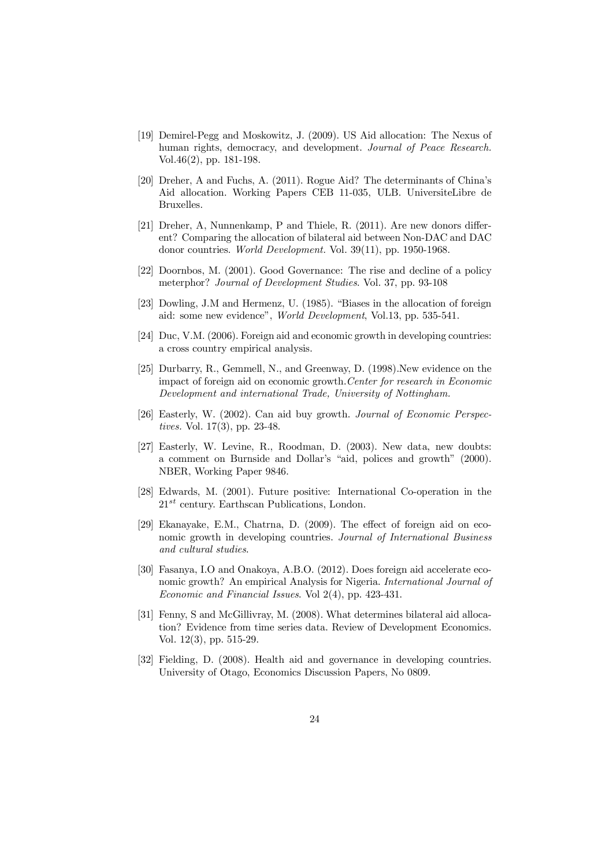- [19] Demirel-Pegg and Moskowitz, J. (2009). US Aid allocation: The Nexus of human rights, democracy, and development. *Journal of Peace Research.* Vol.46(2), pp. 181-198.
- [20] Dreher, A and Fuchs, A. (2011). Rogue Aid? The determinants of China's Aid allocation. Working Papers CEB 11-035, ULB. UniversiteLibre de Bruxelles.
- [21] Dreher, A, Nunnenkamp, P and Thiele, R.  $(2011)$ . Are new donors different? Comparing the allocation of bilateral aid between Non-DAC and DAC donor countries. *World Development.* Vol. 39(11), pp. 1950-1968.
- [22] Doornbos, M. (2001). Good Governance: The rise and decline of a policy meterphor? *Journal of Development Studies*. Vol. 37, pp. 93-108
- [23] Dowling, J.M and Hermenz, U. (1985). "Biases in the allocation of foreign aid: some new evidence", *World Development*, Vol.13, pp. 535-541.
- [24] Duc, V.M. (2006). Foreign aid and economic growth in developing countries: a cross country empirical analysis.
- [25] Durbarry, R., Gemmell, N., and Greenway, D. (1998).New evidence on the impact of foreign aid on economic growth.*Center for research in Economic Development and international Trade, University of Nottingham.*
- [26] Easterly, W. (2002). Can aid buy growth. *Journal of Economic Perspectives.* Vol. 17(3), pp. 23-48.
- [27] Easterly, W. Levine, R., Roodman, D. (2003). New data, new doubts: a comment on Burnside and Dollar's "aid, polices and growth" (2000). NBER, Working Paper 9846.
- [28] Edwards, M. (2001). Future positive: International Co-operation in the  $21^{st}$  century. Earthscan Publications, London.
- [29] Ekanayake, E.M., Chatrna, D.  $(2009)$ . The effect of foreign aid on economic growth in developing countries. *Journal of International Business and cultural studies*.
- [30] Fasanya, I.O and Onakoya, A.B.O. (2012). Does foreign aid accelerate economic growth? An empirical Analysis for Nigeria. *International Journal of Economic and Financial Issues*. Vol 2(4), pp. 423-431.
- [31] Fenny, S and McGillivray, M. (2008). What determines bilateral aid allocation? Evidence from time series data. Review of Development Economics. Vol. 12(3), pp. 515-29.
- [32] Fielding, D. (2008). Health aid and governance in developing countries. University of Otago, Economics Discussion Papers, No 0809.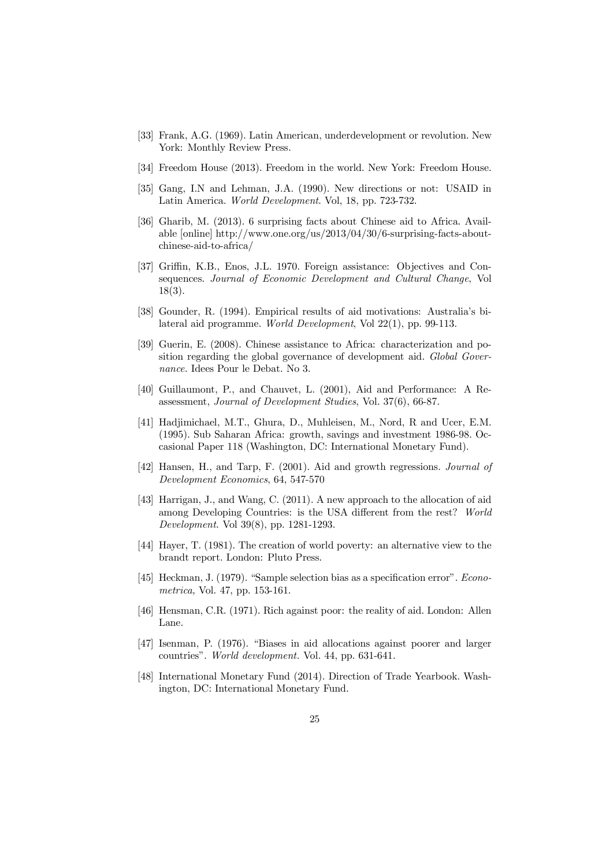- [33] Frank, A.G. (1969). Latin American, underdevelopment or revolution. New York: Monthly Review Press.
- [34] Freedom House (2013). Freedom in the world. New York: Freedom House.
- [35] Gang, I.N and Lehman, J.A. (1990). New directions or not: USAID in Latin America. *World Development*. Vol, 18, pp. 723-732.
- [36] Gharib, M. (2013). 6 surprising facts about Chinese aid to Africa. Available [online] http://www.one.org/us/2013/04/30/6-surprising-facts-aboutchinese-aid-to-africa/
- [37] Griffin, K.B., Enos, J.L. 1970. Foreign assistance: Objectives and Consequences. *Journal of Economic Development and Cultural Change*, Vol 18(3).
- [38] Gounder, R. (1994). Empirical results of aid motivations: Australia's bilateral aid programme. *World Development*, Vol 22(1), pp. 99-113.
- [39] Guerin, E. (2008). Chinese assistance to Africa: characterization and position regarding the global governance of development aid. *Global Governance.* Idees Pour le Debat. No 3.
- [40] Guillaumont, P., and Chauvet, L. (2001), Aid and Performance: A Reassessment, *Journal of Development Studies*, Vol. 37(6), 66-87.
- [41] Hadjimichael, M.T., Ghura, D., Muhleisen, M., Nord, R and Ucer, E.M. (1995). Sub Saharan Africa: growth, savings and investment 1986-98. Occasional Paper 118 (Washington, DC: International Monetary Fund).
- [42] Hansen, H., and Tarp, F. (2001). Aid and growth regressions. *Journal of Development Economics*, 64, 547-570
- [43] Harrigan, J., and Wang, C. (2011). A new approach to the allocation of aid among Developing Countries: is the USA different from the rest? World *Development.* Vol 39(8), pp. 1281-1293.
- [44] Hayer, T. (1981). The creation of world poverty: an alternative view to the brandt report. London: Pluto Press.
- [45] Heckman, J. (1979). "Sample selection bias as a specification error". *Econometrica,* Vol. 47, pp. 153-161.
- [46] Hensman, C.R. (1971). Rich against poor: the reality of aid. London: Allen Lane.
- [47] Isenman, P. (1976). "Biases in aid allocations against poorer and larger countries". *World development.* Vol. 44, pp. 631-641.
- [48] International Monetary Fund (2014). Direction of Trade Yearbook. Washington, DC: International Monetary Fund.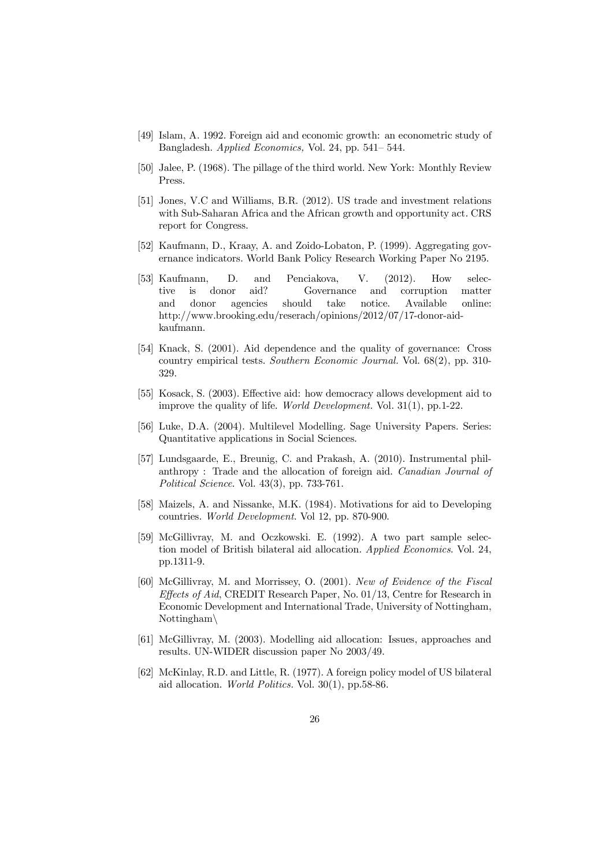- [49] Islam, A. 1992. Foreign aid and economic growth: an econometric study of Bangladesh. *Applied Economics,* Vol. 24, pp. 541– 544.
- [50] Jalee, P. (1968). The pillage of the third world. New York: Monthly Review Press.
- [51] Jones, V.C and Williams, B.R. (2012). US trade and investment relations with Sub-Saharan Africa and the African growth and opportunity act. CRS report for Congress.
- [52] Kaufmann, D., Kraay, A. and Zoido-Lobaton, P. (1999). Aggregating governance indicators. World Bank Policy Research Working Paper No 2195.
- [53] Kaufmann, D. and Penciakova, V. (2012). How selective is donor aid? Governance and corruption matter and donor agencies should take notice. Available online: http://www.brooking.edu/reserach/opinions/2012/07/17-donor-aidkaufmann.
- [54] Knack, S. (2001). Aid dependence and the quality of governance: Cross country empirical tests. *Southern Economic Journal.* Vol. 68(2), pp. 310- 329.
- [55] Kosack, S. (2003). Effective aid: how democracy allows development aid to improve the quality of life. *World Development.* Vol. 31(1), pp.1-22.
- [56] Luke, D.A. (2004). Multilevel Modelling. Sage University Papers. Series: Quantitative applications in Social Sciences.
- [57] Lundsgaarde, E., Breunig, C. and Prakash, A. (2010). Instrumental philanthropy : Trade and the allocation of foreign aid. *Canadian Journal of Political Science*. Vol. 43(3), pp. 733-761.
- [58] Maizels, A. and Nissanke, M.K. (1984). Motivations for aid to Developing countries. *World Development*. Vol 12, pp. 870-900.
- [59] McGillivray, M. and Oczkowski. E. (1992). A two part sample selection model of British bilateral aid allocation. *Applied Economics*. Vol. 24, pp.1311-9.
- [60] McGillivray, M. and Morrissey, O. (2001). *New of Evidence of the Fiscal Effects of Aid*, CREDIT Research Paper, No. 01/13, Centre for Research in Economic Development and International Trade, University of Nottingham,  $Nottingham\$
- [61] McGillivray, M. (2003). Modelling aid allocation: Issues, approaches and results. UN-WIDER discussion paper No 2003/49.
- [62] McKinlay, R.D. and Little, R. (1977). A foreign policy model of US bilateral aid allocation. *World Politics.* Vol. 30(1), pp.58-86.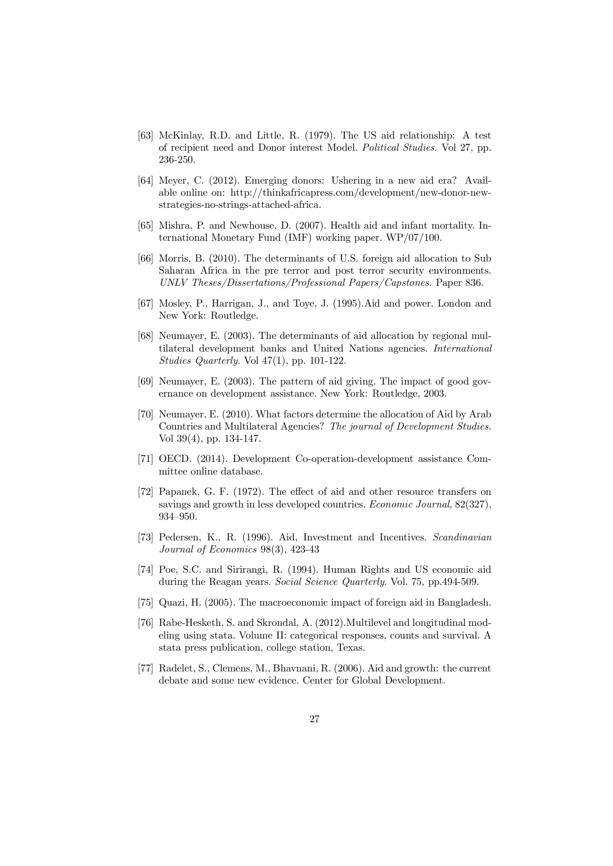- [63] McKinlay, R.D. and Little, R. (1979). The US aid relationship: A test of recipient need and Donor interest Model. *Political Studies.* Vol 27, pp. 236-250.
- [64] Meyer, C. (2012). Emerging donors: Ushering in a new aid era? Available online on: http://thinkafricapress.com/development/new-donor-newstrategies-no-strings-attached-africa.
- [65] Mishra, P. and Newhouse, D. (2007). Health aid and infant mortality. International Monetary Fund (IMF) working paper. WP/07/100.
- [66] Morris, B. (2010). The determinants of U.S. foreign aid allocation to Sub Saharan Africa in the pre terror and post terror security environments. *UNLV Theses/Dissertations/Professional Papers/Capstones.* Paper 836.
- [67] Mosley, P., Harrigan, J., and Toye, J. (1995).Aid and power. London and New York: Routledge.
- [68] Neumayer, E. (2003). The determinants of aid allocation by regional multilateral development banks and United Nations agencies. *International Studies Quarterly.* Vol 47(1), pp. 101-122.
- [69] Neumayer, E. (2003). The pattern of aid giving. The impact of good governance on development assistance. New York: Routledge, 2003.
- [70] Neumayer, E. (2010). What factors determine the allocation of Aid by Arab Countries and Multilateral Agencies? *The journal of Development Studies.* Vol 39(4), pp. 134-147.
- [71] OECD. (2014). Development Co-operation-development assistance Committee online database.
- [72] Papanek, G. F. (1972). The effect of aid and other resource transfers on savings and growth in less developed countries. *Economic Journal*, 82(327), 934–950.
- [73] Pedersen, K., R. (1996). Aid, Investment and Incentives. *Scandinavian Journal of Economics* 98(3), 423-43
- [74] Poe, S.C. and Sirirangi, R. (1994). Human Rights and US economic aid during the Reagan years. *Social Science Quarterly*. Vol. 75, pp.494-509.
- [75] Quazi, H. (2005). The macroeconomic impact of foreign aid in Bangladesh.
- [76] Rabe-Hesketh, S. and Skrondal, A. (2012).Multilevel and longitudinal modeling using stata. Volume II: categorical responses, counts and survival. A stata press publication, college station, Texas.
- [77] Radelet, S., Clemens, M., Bhavnani, R. (2006). Aid and growth: the current debate and some new evidence. Center for Global Development.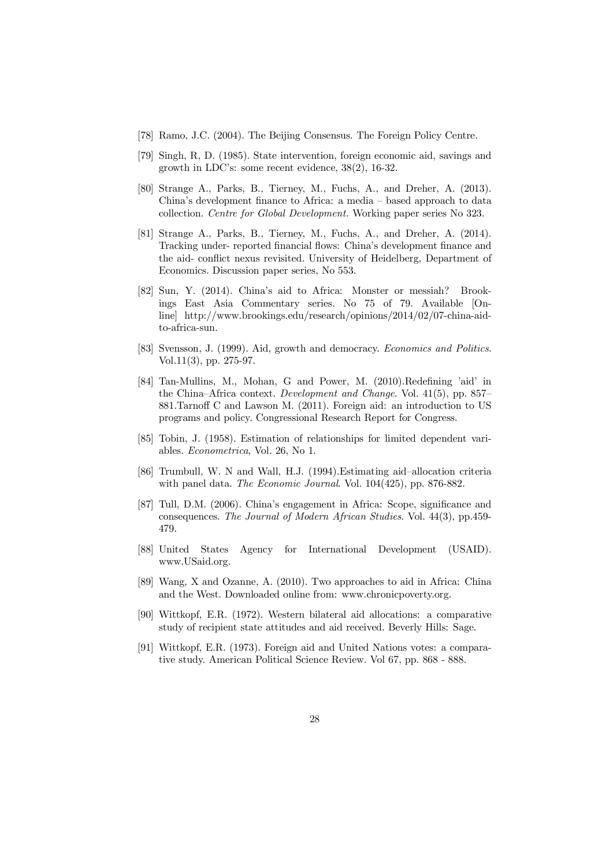- [78] Ramo, J.C. (2004). The Beijing Consensus. The Foreign Policy Centre.
- [79] Singh, R, D. (1985). State intervention, foreign economic aid, savings and growth in LDC's: some recent evidence, 38(2), 16-32.
- [80] Strange A., Parks, B., Tierney, M., Fuchs, A., and Dreher, A. (2013). China's development finance to Africa: a media – based approach to data collection. *Centre for Global Development.* Working paper series No 323.
- [81] Strange A., Parks, B., Tierney, M., Fuchs, A., and Dreher, A. (2014). Tracking under- reported financial flows: China's development finance and the aid- conflict nexus revisited. University of Heidelberg, Department of Economics. Discussion paper series, No 553.
- [82] Sun, Y. (2014). China's aid to Africa: Monster or messiah? Brookings East Asia Commentary series. No 75 of 79. Available [Online] http://www.brookings.edu/research/opinions/2014/02/07-china-aidto-africa-sun.
- [83] Svensson, J. (1999). Aid, growth and democracy. *Economics and Politics*. Vol.11(3), pp. 275-97.
- [84] Tan-Mullins, M., Mohan, G and Power, M. (2010).Redefining 'aid' in the China–Africa context. *Development and Change*. Vol. 41(5), pp. 857– 881.Tarnoff C and Lawson M. (2011). Foreign aid: an introduction to US programs and policy. Congressional Research Report for Congress.
- [85] Tobin, J. (1958). Estimation of relationships for limited dependent variables. *Econometrica*, Vol. 26, No 1.
- [86] Trumbull, W. N and Wall, H.J. (1994).Estimating aid–allocation criteria with panel data. *The Economic Journal*. Vol. 104(425), pp. 876-882.
- [87] Tull, D.M. (2006). China's engagement in Africa: Scope, significance and consequences. *The Journal of Modern African Studies*. Vol. 44(3), pp.459- 479.
- [88] United States Agency for International Development (USAID). www.USaid.org.
- [89] Wang, X and Ozanne, A. (2010). Two approaches to aid in Africa: China and the West. Downloaded online from: www.chronicpoverty.org.
- [90] Wittkopf, E.R. (1972). Western bilateral aid allocations: a comparative study of recipient state attitudes and aid received. Beverly Hills: Sage.
- [91] Wittkopf, E.R. (1973). Foreign aid and United Nations votes: a comparative study. American Political Science Review. Vol 67, pp. 868 - 888.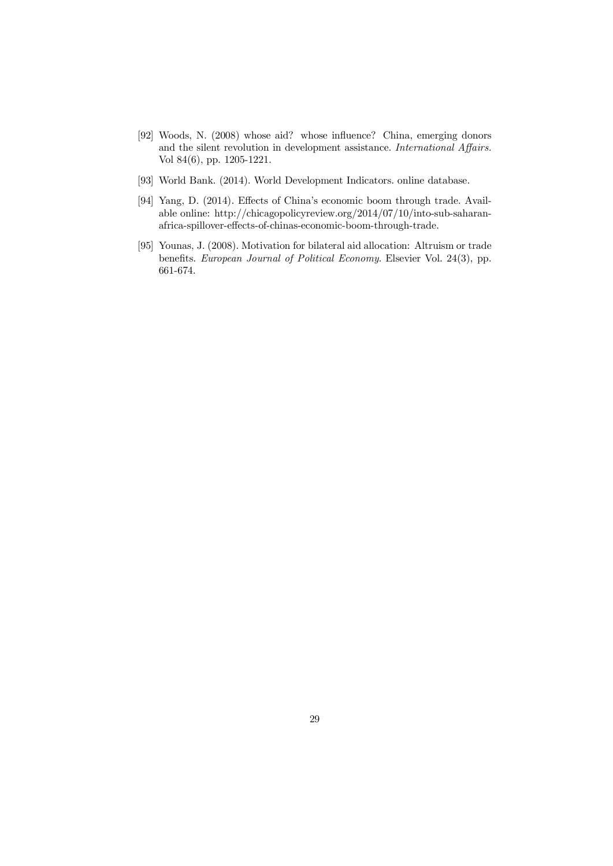- [92] Woods, N. (2008) whose aid? whose influence? China, emerging donors and the silent revolution in development assistance. *International Affairs*. Vol 84(6), pp. 1205-1221.
- [93] World Bank. (2014). World Development Indicators. online database.
- [94] Yang, D. (2014). Effects of China's economic boom through trade. Available online: http://chicagopolicyreview.org/2014/07/10/into-sub-saharanafrica-spillover-effects-of-chinas-economic-boom-through-trade.
- [95] Younas, J. (2008). Motivation for bilateral aid allocation: Altruism or trade benefits. *European Journal of Political Economy*. Elsevier Vol. 24(3), pp. 661-674.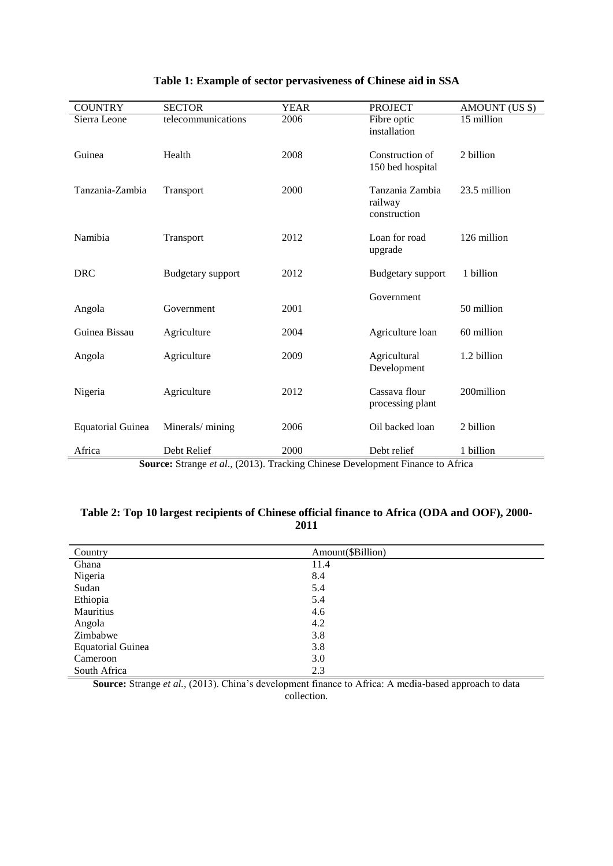| <b>COUNTRY</b>           | <b>SECTOR</b>                                                                                      | <b>YEAR</b> | <b>PROJECT</b>                             | AMOUNT (US \$) |
|--------------------------|----------------------------------------------------------------------------------------------------|-------------|--------------------------------------------|----------------|
| Sierra Leone             | telecommunications                                                                                 | 2006        | Fibre optic<br>installation                | 15 million     |
| Guinea                   | Health                                                                                             | 2008        | Construction of<br>150 bed hospital        | 2 billion      |
| Tanzania-Zambia          | Transport                                                                                          | 2000        | Tanzania Zambia<br>railway<br>construction | 23.5 million   |
| Namibia                  | Transport                                                                                          | 2012        | Loan for road<br>upgrade                   | 126 million    |
| <b>DRC</b>               | <b>Budgetary</b> support                                                                           | 2012        | <b>Budgetary</b> support                   | 1 billion      |
|                          |                                                                                                    |             | Government                                 |                |
| Angola                   | Government                                                                                         | 2001        |                                            | 50 million     |
| Guinea Bissau            | Agriculture                                                                                        | 2004        | Agriculture loan                           | 60 million     |
| Angola                   | Agriculture                                                                                        | 2009        | Agricultural<br>Development                | 1.2 billion    |
| Nigeria                  | Agriculture                                                                                        | 2012        | Cassava flour<br>processing plant          | 200million     |
| <b>Equatorial Guinea</b> | Minerals/mining                                                                                    | 2006        | Oil backed loan                            | 2 billion      |
| Africa                   | Debt Relief<br><b>Source:</b> Strange et al. (2013) Tracking Chinese Development Finance to Africa | 2000        | Debt relief                                | 1 billion      |

## **Table 1: Example of sector pervasiveness of Chinese aid in SSA**

**Source:** Strange *et al*., (2013). Tracking Chinese Development Finance to Africa

#### **Table 2: Top 10 largest recipients of Chinese official finance to Africa (ODA and OOF), 2000- 2011**

| Country                  | Amount(\$Billion) |
|--------------------------|-------------------|
| Ghana                    | 11.4              |
| Nigeria                  | 8.4               |
| Sudan                    | 5.4               |
| Ethiopia                 | 5.4               |
| Mauritius                | 4.6               |
| Angola                   | 4.2               |
| Zimbabwe                 | 3.8               |
| <b>Equatorial Guinea</b> | 3.8               |
| Cameroon                 | 3.0               |
| South Africa             | 2.3               |

**Source:** Strange *et al.,* (2013). China's development finance to Africa: A media-based approach to data collection.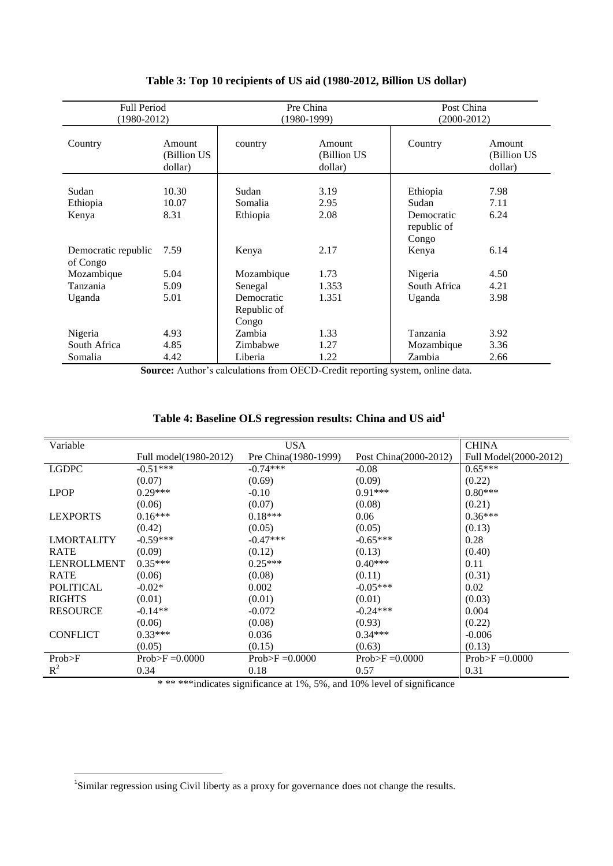| <b>Full Period</b><br>$(1980 - 2012)$ |                                  | Pre China<br>$(1980-1999)$ |                                   | Post China<br>$(2000-2012)$ |                                  |
|---------------------------------------|----------------------------------|----------------------------|-----------------------------------|-----------------------------|----------------------------------|
| Country                               | Amount<br>(Billion US<br>dollar) | country                    | Amount<br>(Billion US)<br>dollar) | Country                     | Amount<br>(Billion US<br>dollar) |
| Sudan                                 | 10.30                            | Sudan                      |                                   |                             |                                  |
|                                       | 10.07                            | Somalia                    | 3.19<br>2.95                      | Ethiopia<br>Sudan           | 7.98<br>7.11                     |
| Ethiopia                              | 8.31                             | Ethiopia                   | 2.08                              | Democratic                  | 6.24                             |
| Kenya                                 |                                  |                            |                                   | republic of<br>Congo        |                                  |
| Democratic republic<br>of Congo       | 7.59                             | Kenya                      | 2.17                              | Kenya                       | 6.14                             |
| Mozambique                            | 5.04                             | Mozambique                 | 1.73                              | Nigeria                     | 4.50                             |
| Tanzania                              | 5.09                             | Senegal                    | 1.353                             | South Africa                | 4.21                             |
| Uganda                                | 5.01                             | Democratic<br>Republic of  | 1.351                             | Uganda                      | 3.98                             |
|                                       |                                  | Congo                      |                                   |                             |                                  |
| Nigeria                               | 4.93                             | Zambia                     | 1.33                              | Tanzania                    | 3.92                             |
| South Africa                          | 4.85<br>4.42                     | Zimbabwe                   | 1.27<br>1.22                      | Mozambique<br>Zambia        | 3.36<br>2.66                     |
| Somalia                               |                                  | Liberia                    |                                   |                             |                                  |

### **Table 3: Top 10 recipients of US aid (1980-2012, Billion US dollar)**

**Source:** Author's calculations from OECD-Credit reporting system, online data.

| Variable           | <b>USA</b>            |                      |                       | <b>CHINA</b>          |
|--------------------|-----------------------|----------------------|-----------------------|-----------------------|
|                    | Full model(1980-2012) | Pre China(1980-1999) | Post China(2000-2012) | Full Model(2000-2012) |
| <b>LGDPC</b>       | $-0.51***$            | $-0.74***$           | $-0.08$               | $0.65***$             |
|                    | (0.07)                | (0.69)               | (0.09)                | (0.22)                |
| <b>LPOP</b>        | $0.29***$             | $-0.10$              | $0.91***$             | $0.80***$             |
|                    | (0.06)                | (0.07)               | (0.08)                | (0.21)                |
| <b>LEXPORTS</b>    | $0.16***$             | $0.18***$            | 0.06                  | $0.36***$             |
|                    | (0.42)                | (0.05)               | (0.05)                | (0.13)                |
| <b>LMORTALITY</b>  | $-0.59***$            | $-0.47***$           | $-0.65***$            | 0.28                  |
| <b>RATE</b>        | (0.09)                | (0.12)               | (0.13)                | (0.40)                |
| <b>LENROLLMENT</b> | $0.35***$             | $0.25***$            | $0.40***$             | 0.11                  |
| <b>RATE</b>        | (0.06)                | (0.08)               | (0.11)                | (0.31)                |
| <b>POLITICAL</b>   | $-0.02*$              | 0.002                | $-0.05***$            | 0.02                  |
| <b>RIGHTS</b>      | (0.01)                | (0.01)               | (0.01)                | (0.03)                |
| <b>RESOURCE</b>    | $-0.14**$             | $-0.072$             | $-0.24***$            | 0.004                 |
|                    | (0.06)                | (0.08)               | (0.93)                | (0.22)                |
| <b>CONFLICT</b>    | $0.33***$             | 0.036                | $0.34***$             | $-0.006$              |
|                    | (0.05)                | (0.15)               | (0.63)                | (0.13)                |
| Prob>F             | $Prob>F = 0.0000$     | $Prob>F = 0.0000$    | $Prob>F = 0.0000$     | $Prob>F = 0.0000$     |
| $R^2$              | 0.34                  | 0.18                 | 0.57                  | 0.31                  |

## **Table 4: Baseline OLS regression results: China and US aid<sup>1</sup>**

\* \*\*\*\*\*indicates significance at 1%, 5%, and 10% level of significance

<sup>&</sup>lt;sup>1</sup>Similar regression using Civil liberty as a proxy for governance does not change the results.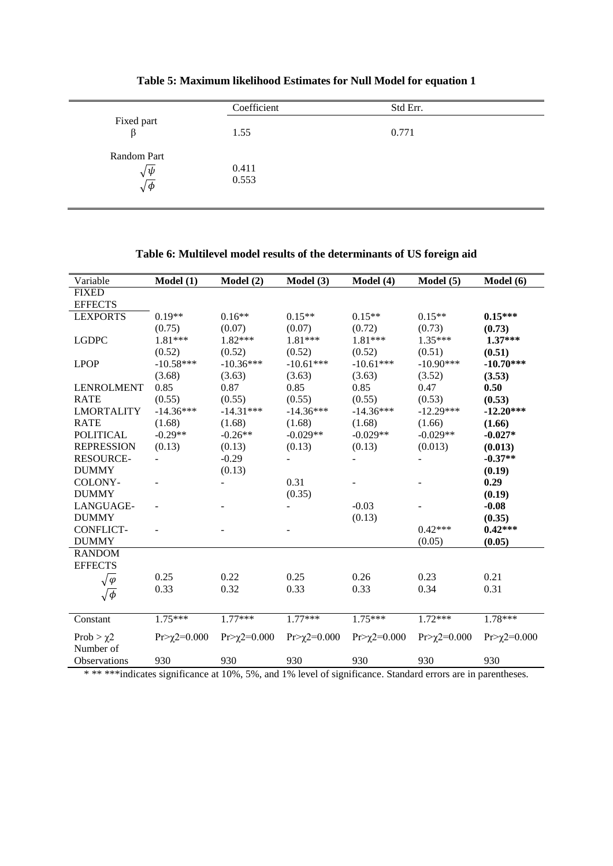|                                               | Coefficient    | Std Err. |  |
|-----------------------------------------------|----------------|----------|--|
| Fixed part<br>ß                               | 1.55           | 0.771    |  |
| Random Part<br>$\sqrt{\psi}$<br>$\sqrt{\phi}$ | 0.411<br>0.553 |          |  |

**Table 5: Maximum likelihood Estimates for Null Model for equation 1**

 $\overline{a}$ 

## **Table 6: Multilevel model results of the determinants of US foreign aid**

| Variable                    | Model(1)            | Model(2)          | Model (3)         | Model (4)           | Model(5)          | Model $(6)$         |
|-----------------------------|---------------------|-------------------|-------------------|---------------------|-------------------|---------------------|
| <b>FIXED</b>                |                     |                   |                   |                     |                   |                     |
| <b>EFFECTS</b>              |                     |                   |                   |                     |                   |                     |
| <b>LEXPORTS</b>             | $0.19**$            | $0.16**$          | $0.15**$          | $0.15**$            | $0.15**$          | $0.15***$           |
|                             | (0.75)              | (0.07)            | (0.07)            | (0.72)              | (0.73)            | (0.73)              |
| <b>LGDPC</b>                | 1.81***             | 1.82***           | $1.81***$         | 1.81 ***            | $1.35***$         | $1.37***$           |
|                             | (0.52)              | (0.52)            | (0.52)            | (0.52)              | (0.51)            | (0.51)              |
| <b>LPOP</b>                 | $-10.58***$         | $-10.36***$       | $-10.61***$       | $-10.61***$         | $-10.90***$       | $-10.70***$         |
|                             | (3.68)              | (3.63)            | (3.63)            | (3.63)              | (3.52)            | (3.53)              |
| <b>LENROLMENT</b>           | 0.85                | 0.87              | 0.85              | 0.85                | 0.47              | 0.50                |
| <b>RATE</b>                 | (0.55)              | (0.55)            | (0.55)            | (0.55)              | (0.53)            | (0.53)              |
| <b>LMORTALITY</b>           | $-14.36***$         | $-14.31***$       | $-14.36***$       | $-14.36***$         | $-12.29***$       | $-12.20***$         |
| <b>RATE</b>                 | (1.68)              | (1.68)            | (1.68)            | (1.68)              | (1.66)            | (1.66)              |
| <b>POLITICAL</b>            | $-0.29**$           | $-0.26**$         | $-0.029**$        | $-0.029**$          | $-0.029**$        | $-0.027*$           |
| <b>REPRESSION</b>           | (0.13)              | (0.13)            | (0.13)            | (0.13)              | (0.013)           | (0.013)             |
| <b>RESOURCE-</b>            |                     | $-0.29$           |                   |                     |                   | $-0.37**$           |
| <b>DUMMY</b>                |                     | (0.13)            |                   |                     |                   | (0.19)              |
| COLONY-                     |                     |                   | 0.31              |                     |                   | 0.29                |
| <b>DUMMY</b>                |                     |                   | (0.35)            |                     |                   | (0.19)              |
| LANGUAGE-                   |                     |                   |                   | $-0.03$             |                   | $-0.08$             |
| <b>DUMMY</b>                |                     |                   |                   | (0.13)              |                   | (0.35)              |
| <b>CONFLICT-</b>            |                     |                   |                   |                     | $0.42***$         | $0.42***$           |
| <b>DUMMY</b>                |                     |                   |                   |                     | (0.05)            | (0.05)              |
| <b>RANDOM</b>               |                     |                   |                   |                     |                   |                     |
| <b>EFFECTS</b>              |                     |                   |                   |                     |                   |                     |
| $\sqrt{\varphi}$            | 0.25                | 0.22              | 0.25              | 0.26                | 0.23              | 0.21                |
| $\sqrt{\phi}$               | 0.33                | 0.32              | 0.33              | 0.33                | 0.34              | 0.31                |
|                             |                     |                   |                   |                     |                   |                     |
| Constant                    | $1.75***$           | $1.77***$         | $1.77***$         | $1.75***$           | $1.72***$         | 1.78***             |
| Prob $>\chi$ 2<br>Number of | $Pr > \chi$ 2=0.000 | $Pr>\chi$ 2=0.000 | $Pr>\chi$ 2=0.000 | $Pr > \chi$ 2=0.000 | $Pr>\chi$ 2=0.000 | $Pr > \chi$ 2=0.000 |
| Observations                | 930                 | 930               | 930               | 930                 | 930               | 930                 |

\* \*\* \*\*\*indicates significance at 10%, 5%, and 1% level of significance. Standard errors are in parentheses.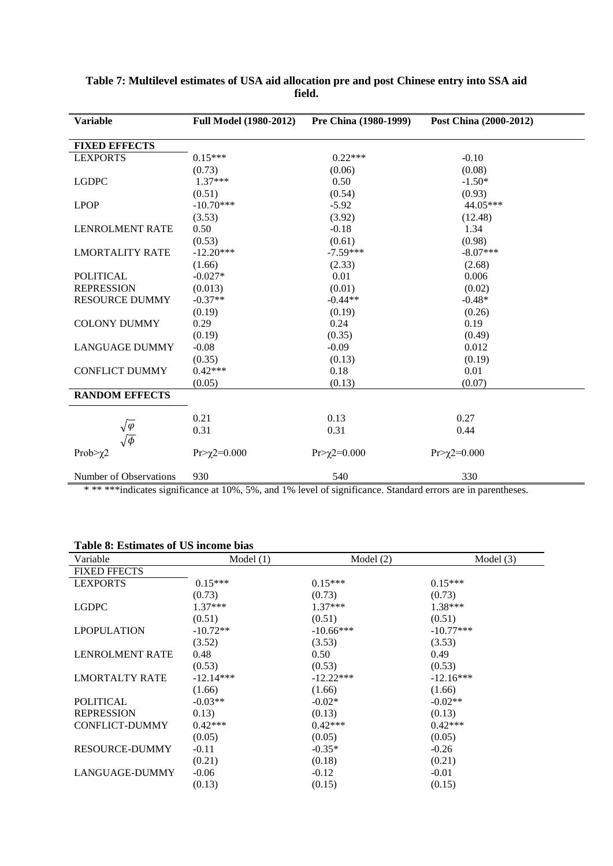| <b>Variable</b>                   | <b>Full Model (1980-2012)</b>                               | Pre China (1980-1999)                 | Post China (2000-2012) |
|-----------------------------------|-------------------------------------------------------------|---------------------------------------|------------------------|
| <b>FIXED EFFECTS</b>              |                                                             |                                       |                        |
| <b>LEXPORTS</b>                   | $0.15***$                                                   | $0.22***$                             | $-0.10$                |
|                                   | (0.73)                                                      | (0.06)                                | (0.08)                 |
| <b>LGDPC</b>                      | $1.37***$                                                   | 0.50                                  | $-1.50*$               |
|                                   | (0.51)                                                      | (0.54)                                | (0.93)                 |
| <b>LPOP</b>                       | $-10.70***$                                                 | $-5.92$                               | 44.05***               |
|                                   | (3.53)                                                      | (3.92)                                | (12.48)                |
| <b>LENROLMENT RATE</b>            | 0.50                                                        | $-0.18$                               | 1.34                   |
|                                   | (0.53)                                                      | (0.61)                                | (0.98)                 |
| <b>LMORTALITY RATE</b>            | $-12.20***$                                                 | $-7.59***$                            | $-8.07***$             |
|                                   | (1.66)                                                      | (2.33)                                | (2.68)                 |
| <b>POLITICAL</b>                  | $-0.027*$                                                   | 0.01                                  | 0.006                  |
| <b>REPRESSION</b>                 | (0.013)                                                     | (0.01)                                | (0.02)                 |
| <b>RESOURCE DUMMY</b>             | $-0.37**$                                                   | $-0.44**$                             | $-0.48*$               |
|                                   | (0.19)                                                      | (0.19)                                | (0.26)                 |
| <b>COLONY DUMMY</b>               | 0.29                                                        | 0.24                                  | 0.19                   |
|                                   | (0.19)                                                      | (0.35)                                | (0.49)                 |
| <b>LANGUAGE DUMMY</b>             | $-0.08$                                                     | $-0.09$                               | 0.012                  |
|                                   | (0.35)                                                      | (0.13)                                | (0.19)                 |
| <b>CONFLICT DUMMY</b>             | $0.42***$                                                   | 0.18                                  | 0.01                   |
|                                   | (0.05)                                                      | (0.13)                                | (0.07)                 |
| <b>RANDOM EFFECTS</b>             |                                                             |                                       |                        |
|                                   | 0.21                                                        | 0.13                                  | 0.27                   |
| $\sqrt{\varphi}$<br>$\sqrt{\phi}$ | 0.31                                                        | 0.31                                  | 0.44                   |
| Prob $\geq$ 2                     | $Pr>\chi$ 2=0.000                                           | $Pr>\chi$ 2=0.000                     | $Pr>\chi$ 2=0.000      |
| Number of Observations            | 930<br>$+100$ $F_0$ $\rightarrow +10$ $10$ $F_{\text{max}}$ | 540<br>$C_{\text{bound}}$ dend $\sim$ | 330                    |

#### **Table 7: Multilevel estimates of USA aid allocation pre and post Chinese entry into SSA aid field.**

\* \*\* \*\*\*indicates significance at 10%, 5%, and 1% level of significance. Standard errors are in parentheses.

## **Table 8: Estimates of US income bias**

| Variable               | Model $(1)$ | Model $(2)$ | Model $(3)$ |
|------------------------|-------------|-------------|-------------|
| <b>FIXED FFECTS</b>    |             |             |             |
| <b>LEXPORTS</b>        | $0.15***$   | $0.15***$   | $0.15***$   |
|                        | (0.73)      | (0.73)      | (0.73)      |
| <b>LGDPC</b>           | $1.37***$   | $1.37***$   | 1.38***     |
|                        | (0.51)      | (0.51)      | (0.51)      |
| <b>LPOPULATION</b>     | $-10.72**$  | $-10.66***$ | $-10.77***$ |
|                        | (3.52)      | (3.53)      | (3.53)      |
| <b>LENROLMENT RATE</b> | 0.48        | 0.50        | 0.49        |
|                        | (0.53)      | (0.53)      | (0.53)      |
| <b>LMORTALTY RATE</b>  | $-12.14***$ | $-12.22***$ | $-12.16***$ |
|                        | (1.66)      | (1.66)      | (1.66)      |
| <b>POLITICAL</b>       | $-0.03**$   | $-0.02*$    | $-0.02**$   |
| <b>REPRESSION</b>      | 0.13)       | (0.13)      | (0.13)      |
| <b>CONFLICT-DUMMY</b>  | $0.42***$   | $0.42***$   | $0.42***$   |
|                        | (0.05)      | (0.05)      | (0.05)      |
| <b>RESOURCE-DUMMY</b>  | $-0.11$     | $-0.35*$    | $-0.26$     |
|                        | (0.21)      | (0.18)      | (0.21)      |
| LANGUAGE-DUMMY         | $-0.06$     | $-0.12$     | $-0.01$     |
|                        | (0.13)      | (0.15)      | (0.15)      |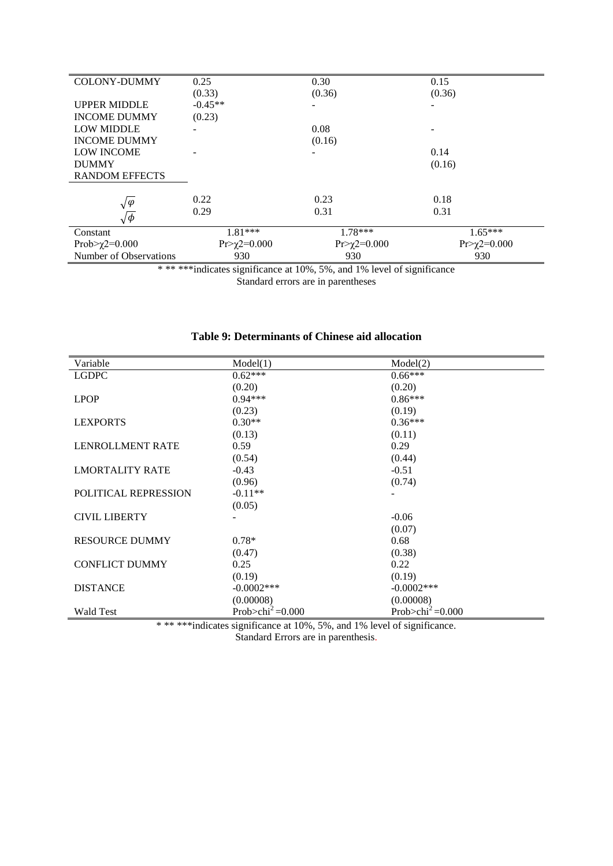| <b>COLONY-DUMMY</b>    | 0.25                | 0.30              | 0.15              |
|------------------------|---------------------|-------------------|-------------------|
|                        | (0.33)              | (0.36)            | (0.36)            |
| <b>UPPER MIDDLE</b>    | $-0.45**$           |                   |                   |
| <b>INCOME DUMMY</b>    | (0.23)              |                   |                   |
| <b>LOW MIDDLE</b>      |                     | 0.08              |                   |
| <b>INCOME DUMMY</b>    |                     | (0.16)            |                   |
| <b>LOW INCOME</b>      |                     | -                 | 0.14              |
| <b>DUMMY</b>           |                     |                   | (0.16)            |
| <b>RANDOM EFFECTS</b>  |                     |                   |                   |
|                        |                     |                   |                   |
| $\sqrt{\varphi}$       | 0.22                | 0.23              | 0.18              |
| $\sqrt{\phi}$          | 0.29                | 0.31              | 0.31              |
| Constant               | $1.81***$           | $1.78***$         | $1.65***$         |
| Prob> $\chi$ 2=0.000   | $Pr>\gamma$ 2=0.000 | $Pr>\chi$ 2=0.000 | $Pr>\chi$ 2=0.000 |
| Number of Observations | 930                 | 930               | 930               |

\* \*\* \*\*\*indicates significance at 10%, 5%, and 1% level of significance Standard errors are in parentheses

| Variable                    | Model(1)                         | Model(2)                          |
|-----------------------------|----------------------------------|-----------------------------------|
| <b>LGDPC</b>                | $0.62***$                        | $0.66***$                         |
|                             | (0.20)                           | (0.20)                            |
| <b>LPOP</b>                 | $0.94***$                        | $0.86***$                         |
|                             | (0.23)                           | (0.19)                            |
| <b>LEXPORTS</b>             | $0.30**$                         | $0.36***$                         |
|                             | (0.13)                           | (0.11)                            |
| <b>LENROLLMENT RATE</b>     | 0.59                             | 0.29                              |
|                             | (0.54)                           | (0.44)                            |
| <b>LMORTALITY RATE</b>      | $-0.43$                          | $-0.51$                           |
|                             | (0.96)                           | (0.74)                            |
| <b>POLITICAL REPRESSION</b> | $-0.11**$                        |                                   |
|                             | (0.05)                           |                                   |
| <b>CIVIL LIBERTY</b>        |                                  | $-0.06$                           |
|                             |                                  | (0.07)                            |
| <b>RESOURCE DUMMY</b>       | $0.78*$                          | 0.68                              |
|                             | (0.47)                           | (0.38)                            |
| <b>CONFLICT DUMMY</b>       | 0.25                             | 0.22                              |
|                             | (0.19)                           | (0.19)                            |
| <b>DISTANCE</b>             | $-0.0002$ ***                    | $-0.0002$ ***                     |
|                             | (0.00008)                        | (0.00008)                         |
| <b>Wald Test</b>            | Prob $>$ chi <sup>2</sup> =0.000 | Prob $>$ chi <sup>2</sup> = 0.000 |

## **Table 9: Determinants of Chinese aid allocation**

\* \*\*\*\*\*indicates significance at 10%, 5%, and 1% level of significance. Standard Errors are in parenthesis.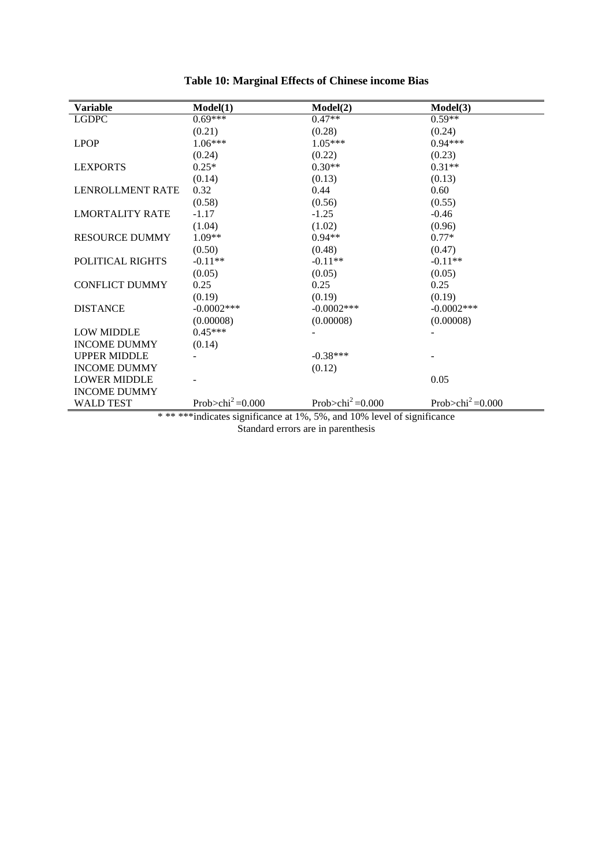| <b>Variable</b>                                                        | Model(1)                         | Model(2)                     | Model(3)                         |
|------------------------------------------------------------------------|----------------------------------|------------------------------|----------------------------------|
| ${\rm LGDPC}$                                                          | $0.69***$                        | $0.47**$                     | $0.59**$                         |
|                                                                        | (0.21)                           | (0.28)                       | (0.24)                           |
| <b>LPOP</b>                                                            | $1.06***$                        | $1.05***$                    | $0.94***$                        |
|                                                                        | (0.24)                           | (0.22)                       | (0.23)                           |
| <b>LEXPORTS</b>                                                        | $0.25*$                          | $0.30**$                     | $0.31**$                         |
|                                                                        | (0.14)                           | (0.13)                       | (0.13)                           |
| LENROLLMENT RATE                                                       | 0.32                             | 0.44                         | 0.60                             |
|                                                                        | (0.58)                           | (0.56)                       | (0.55)                           |
| <b>LMORTALITY RATE</b>                                                 | $-1.17$                          | $-1.25$                      | $-0.46$                          |
|                                                                        | (1.04)                           | (1.02)                       | (0.96)                           |
| <b>RESOURCE DUMMY</b>                                                  | $1.09**$                         | $0.94**$                     | $0.77*$                          |
|                                                                        | (0.50)                           | (0.48)                       | (0.47)                           |
| POLITICAL RIGHTS                                                       | $-0.11**$                        | $-0.11**$                    | $-0.11**$                        |
|                                                                        | (0.05)                           | (0.05)                       | (0.05)                           |
| <b>CONFLICT DUMMY</b>                                                  | 0.25                             | 0.25                         | 0.25                             |
|                                                                        | (0.19)                           | (0.19)                       | (0.19)                           |
| <b>DISTANCE</b>                                                        | $-0.0002$ ***                    | $-0.0002$ ***                | $-0.0002$ ***                    |
|                                                                        | (0.00008)                        | (0.00008)                    | (0.00008)                        |
| <b>LOW MIDDLE</b>                                                      | $0.45***$                        |                              |                                  |
| <b>INCOME DUMMY</b>                                                    | (0.14)                           |                              |                                  |
| <b>UPPER MIDDLE</b>                                                    |                                  | $-0.38***$                   |                                  |
| <b>INCOME DUMMY</b>                                                    |                                  | (0.12)                       |                                  |
| <b>LOWER MIDDLE</b>                                                    |                                  |                              | 0.05                             |
| <b>INCOME DUMMY</b>                                                    |                                  |                              |                                  |
| <b>WALD TEST</b>                                                       | Prob $>$ chi <sup>2</sup> =0.000 | Prob>chi <sup>2</sup> =0.000 | Prob $>$ chi <sup>2</sup> =0.000 |
| *******indicates significance at 1%, 5%, and 10% level of significance |                                  |                              |                                  |

## **Table 10: Marginal Effects of Chinese income Bias**

Standard errors are in parenthesis